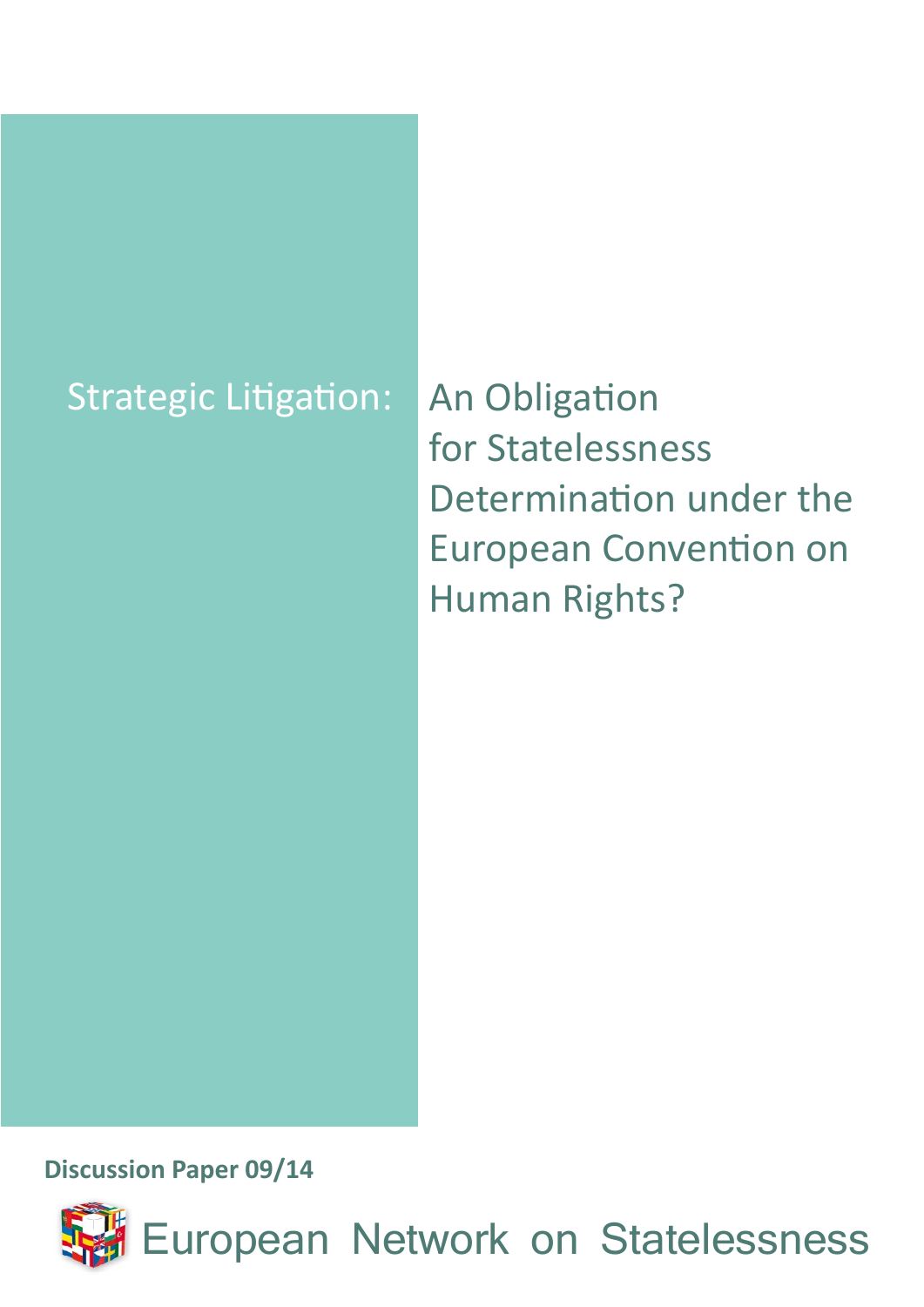# Strategic Litigation: An Obligation

for Statelessness Determination under the European Convention on Human Rights?

**Discussion Paper 09/14**

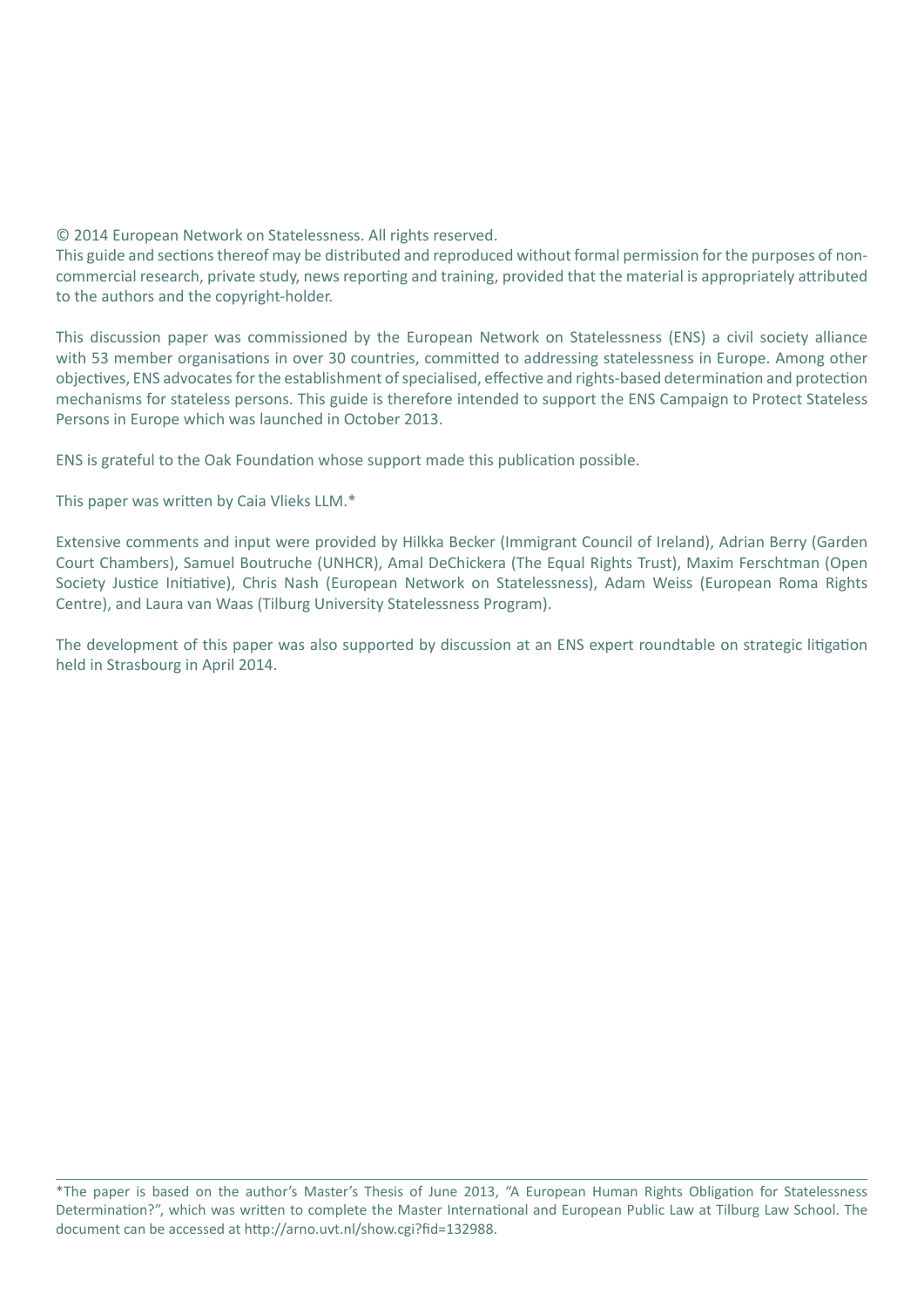© 2014 European Network on Statelessness. All rights reserved.

This guide and sections thereof may be distributed and reproduced without formal permission for the purposes of noncommercial research, private study, news reporting and training, provided that the material is appropriately attributed to the authors and the copyright-holder.

This discussion paper was commissioned by the European Network on Statelessness (ENS) a civil society alliance with 53 member organisations in over 30 countries, committed to addressing statelessness in Europe. Among other objectives, ENS advocates for the establishment of specialised, effective and rights-based determination and protection mechanisms for stateless persons. This guide is therefore intended to support the ENS Campaign to Protect Stateless Persons in Europe which was launched in October 2013.

ENS is grateful to the Oak Foundation whose support made this publication possible.

This paper was written by Caia Vlieks LLM.\*

Extensive comments and input were provided by Hilkka Becker (Immigrant Council of Ireland), Adrian Berry (Garden Court Chambers), Samuel Boutruche (UNHCR), Amal DeChickera (The Equal Rights Trust), Maxim Ferschtman (Open Society Justice Initiative), Chris Nash (European Network on Statelessness), Adam Weiss (European Roma Rights Centre), and Laura van Waas (Tilburg University Statelessness Program).

The development of this paper was also supported by discussion at an ENS expert roundtable on strategic litigation held in Strasbourg in April 2014.

<sup>\*</sup>The paper is based on the author's Master's Thesis of June 2013, "A European Human Rights Obligation for Statelessness Determination?", which was written to complete the Master International and European Public Law at Tilburg Law School. The document can be accessed at http://arno.uvt.nl/show.cgi?fid=132988.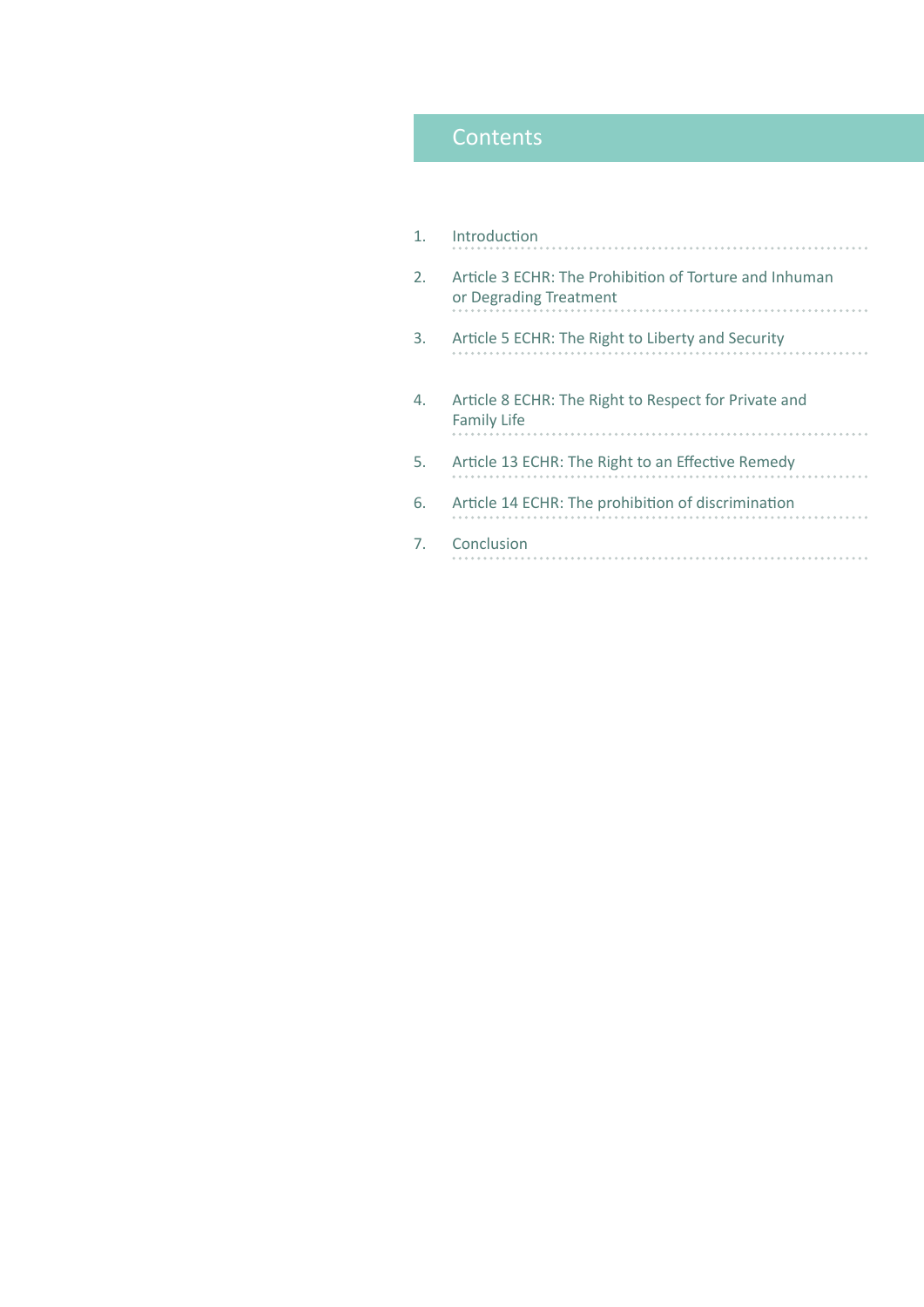# **Contents**

| 1. | Introduction                                                                     |
|----|----------------------------------------------------------------------------------|
| 2. | Article 3 ECHR: The Prohibition of Torture and Inhuman<br>or Degrading Treatment |
| 3. | Article 5 ECHR: The Right to Liberty and Security                                |
| 4. | Article 8 ECHR: The Right to Respect for Private and<br><b>Family Life</b>       |
| 5. | Article 13 ECHR: The Right to an Effective Remedy                                |
| 6. | Article 14 ECHR: The prohibition of discrimination                               |
| 7. | Conclusion                                                                       |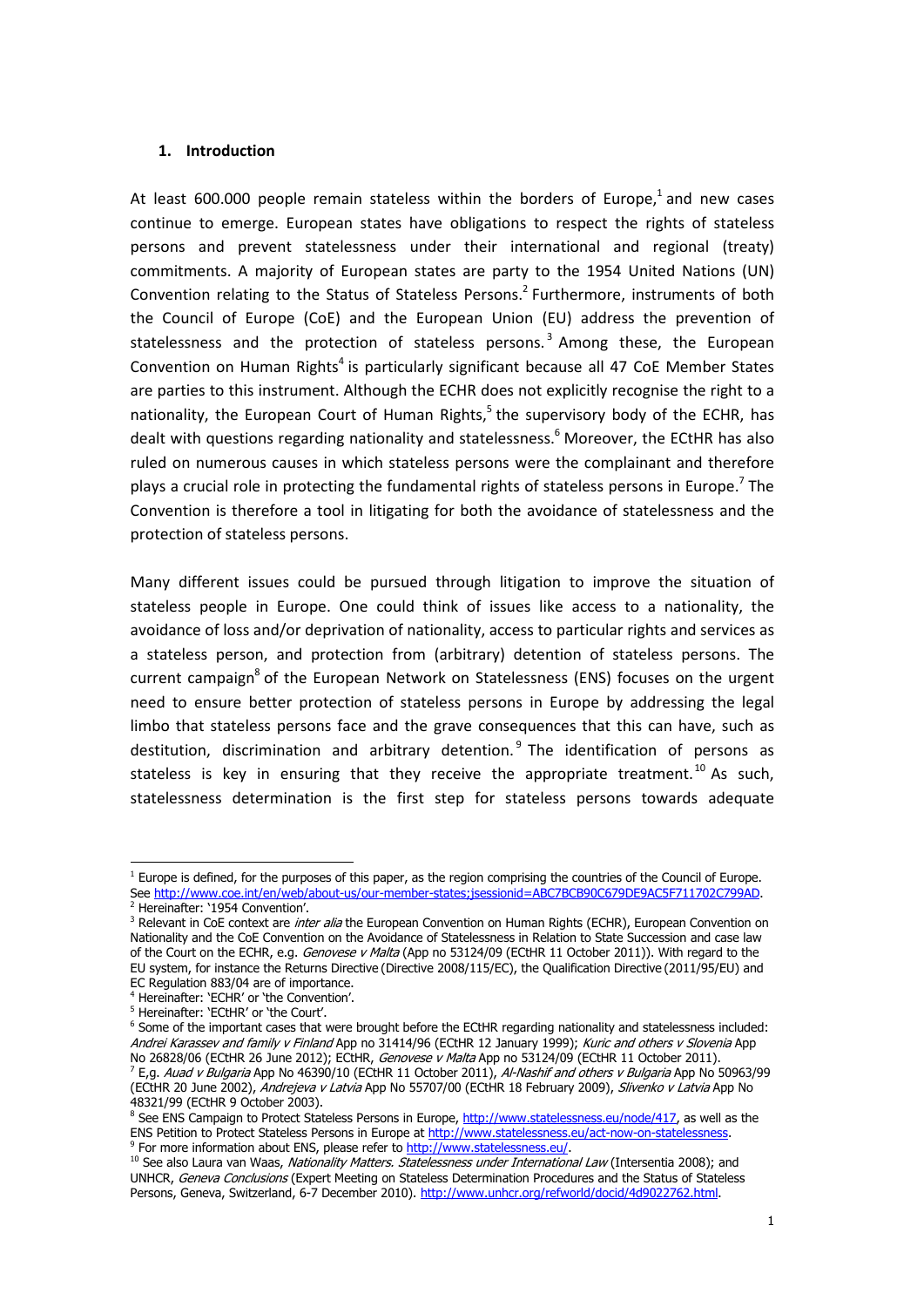#### 1. Introduction

At least 600.000 people remain stateless within the borders of Europe, $^1$  and new cases continue to emerge. European states have obligations to respect the rights of stateless persons and prevent statelessness under their international and regional (treaty) commitments. A majority of European states are party to the 1954 United Nations (UN) Convention relating to the Status of Stateless Persons.<sup>2</sup> Furthermore, instruments of both the Council of Europe (CoE) and the European Union (EU) address the prevention of statelessness and the protection of stateless persons.<sup>3</sup> Among these, the European Convention on Human Rights<sup>4</sup> is particularly significant because all 47 CoE Member States are parties to this instrument. Although the ECHR does not explicitly recognise the right to a nationality, the European Court of Human Rights,<sup>5</sup> the supervisory body of the ECHR, has dealt with questions regarding nationality and statelessness.<sup>6</sup> Moreover, the ECtHR has also ruled on numerous causes in which stateless persons were the complainant and therefore plays a crucial role in protecting the fundamental rights of stateless persons in Europe.<sup>7</sup> The Convention is therefore a tool in litigating for both the avoidance of statelessness and the protection of stateless persons.

Many different issues could be pursued through litigation to improve the situation of stateless people in Europe. One could think of issues like access to a nationality, the avoidance of loss and/or deprivation of nationality, access to particular rights and services as a stateless person, and protection from (arbitrary) detention of stateless persons. The current campaign<sup>8</sup> of the European Network on Statelessness (ENS) focuses on the urgent need to ensure better protection of stateless persons in Europe by addressing the legal limbo that stateless persons face and the grave consequences that this can have, such as destitution, discrimination and arbitrary detention. 9 The identification of persons as stateless is key in ensuring that they receive the appropriate treatment.<sup>10</sup> As such, statelessness determination is the first step for stateless persons towards adequate

 1 Europe is defined, for the purposes of this paper, as the region comprising the countries of the Council of Europe. See http://www.coe.int/en/web/about-us/our-member-states;jsessionid=ABC7BCB90C679DE9AC5F711702C799AD. 2

<sup>&</sup>lt;sup>2</sup> Hereinafter: '1954 Convention'.

<sup>&</sup>lt;sup>3</sup> Relevant in CoE context are *inter alia* the European Convention on Human Rights (ECHR), European Convention on Nationality and the CoE Convention on the Avoidance of Statelessness in Relation to State Succession and case law of the Court on the ECHR, e.g. Genovese v Malta (App no 53124/09 (ECtHR 11 October 2011)). With regard to the EU system, for instance the Returns Directive (Directive 2008/115/EC), the Qualification Directive (2011/95/EU) and EC Regulation 883/04 are of importance.

<sup>4</sup> Hereinafter: 'ECHR' or 'the Convention'.

<sup>5</sup> Hereinafter: 'ECtHR' or 'the Court'.

<sup>6</sup> Some of the important cases that were brought before the ECtHR regarding nationality and statelessness included: Andrei Karassev and family v Finland App no 31414/96 (ECtHR 12 January 1999); Kuric and others v Slovenia App No 26828/06 (ECtHR 26 June 2012); ECtHR, Genovese v Malta App no 53124/09 (ECtHR 11 October 2011). <sup>7</sup> E,g. *Auad v Bulgaria* App No 46390/10 (ECtHR 11 October 2011), *Al-Nashif and others v Bulgaria* App No 50963/99 (ECtHR 20 June 2002), Andrejeva v Latvia App No 55707/00 (ECtHR 18 February 2009), Slivenko v Latvia App No 48321/99 (ECtHR 9 October 2003).

<sup>&</sup>lt;sup>8</sup> See ENS Campaign to Protect Stateless Persons in Europe, <u>http://www.statelessness.eu/node/417</u>, as well as the ENS Petition to Protect Stateless Persons in Europe at http://www.statelessness.eu/act-now-on-statelessness. 9 <sup>9</sup> For more information about ENS, please refer to http://www.statelessness.eu/.

<sup>&</sup>lt;sup>10</sup> See also Laura van Waas, Nationality Matters. Statelessness under International Law (Intersentia 2008); and UNHCR, Geneva Conclusions (Expert Meeting on Stateless Determination Procedures and the Status of Stateless Persons, Geneva, Switzerland, 6-7 December 2010). http://www.unhcr.org/refworld/docid/4d9022762.html.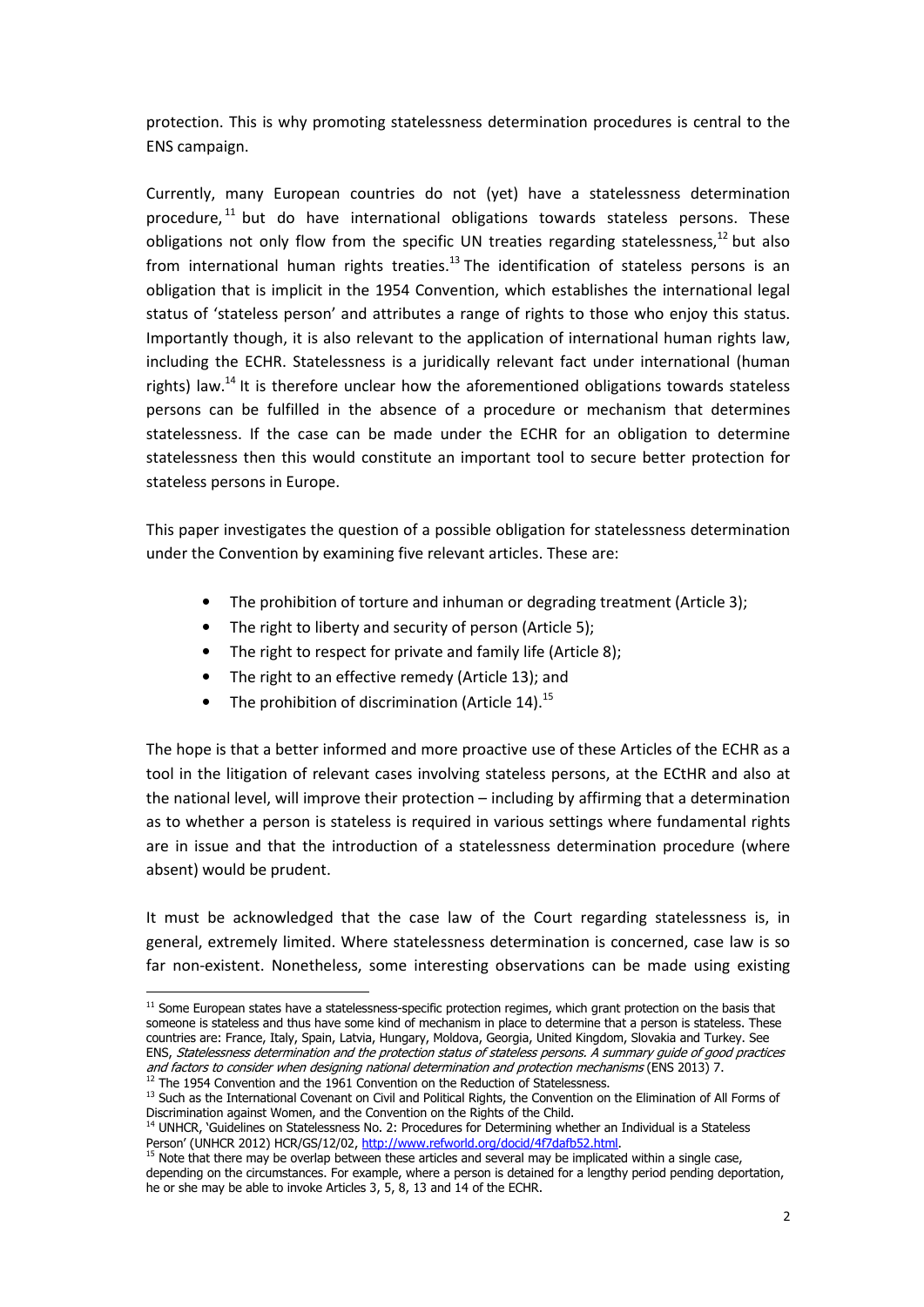protection. This is why promoting statelessness determination procedures is central to the ENS campaign.

Currently, many European countries do not (yet) have a statelessness determination procedure, $^{11}$  but do have international obligations towards stateless persons. These obligations not only flow from the specific UN treaties regarding statelessness, $^{12}$  but also from international human rights treaties.<sup>13</sup> The identification of stateless persons is an obligation that is implicit in the 1954 Convention, which establishes the international legal status of 'stateless person' and attributes a range of rights to those who enjoy this status. Importantly though, it is also relevant to the application of international human rights law, including the ECHR. Statelessness is a juridically relevant fact under international (human rights) law.<sup>14</sup> It is therefore unclear how the aforementioned obligations towards stateless persons can be fulfilled in the absence of a procedure or mechanism that determines statelessness. If the case can be made under the ECHR for an obligation to determine statelessness then this would constitute an important tool to secure better protection for stateless persons in Europe.

This paper investigates the question of a possible obligation for statelessness determination under the Convention by examining five relevant articles. These are:

- The prohibition of torture and inhuman or degrading treatment (Article 3);
- The right to liberty and security of person (Article 5);
- The right to respect for private and family life (Article 8);
- The right to an effective remedy (Article 13); and
- The prohibition of discrimination (Article 14).<sup>15</sup>

The hope is that a better informed and more proactive use of these Articles of the ECHR as a tool in the litigation of relevant cases involving stateless persons, at the ECtHR and also at the national level, will improve their protection – including by affirming that a determination as to whether a person is stateless is required in various settings where fundamental rights are in issue and that the introduction of a statelessness determination procedure (where absent) would be prudent.

It must be acknowledged that the case law of the Court regarding statelessness is, in general, extremely limited. Where statelessness determination is concerned, case law is so far non-existent. Nonetheless, some interesting observations can be made using existing

 11 Some European states have a statelessness-specific protection regimes, which grant protection on the basis that someone is stateless and thus have some kind of mechanism in place to determine that a person is stateless. These countries are: France, Italy, Spain, Latvia, Hungary, Moldova, Georgia, United Kingdom, Slovakia and Turkey. See ENS, Statelessness determination and the protection status of stateless persons. A summary guide of good practices and factors to consider when designing national determination and protection mechanisms (ENS 2013) 7.  $12$  The 1954 Convention and the 1961 Convention on the Reduction of Statelessness.

 $<sup>13</sup>$  Such as the International Covenant on Civil and Political Rights, the Convention on the Elimination of All Forms of</sup> Discrimination against Women, and the Convention on the Rights of the Child.

<sup>&</sup>lt;sup>14</sup> UNHCR, 'Guidelines on Statelessness No. 2: Procedures for Determining whether an Individual is a Stateless Person' (UNHCR 2012) HCR/GS/12/02, http://www.refworld.org/docid/4f7dafb52.html.

<sup>&</sup>lt;sup>15</sup> Note that there may be overlap between these articles and several may be implicated within a single case, depending on the circumstances. For example, where a person is detained for a lengthy period pending deportation, he or she may be able to invoke Articles 3, 5, 8, 13 and 14 of the ECHR.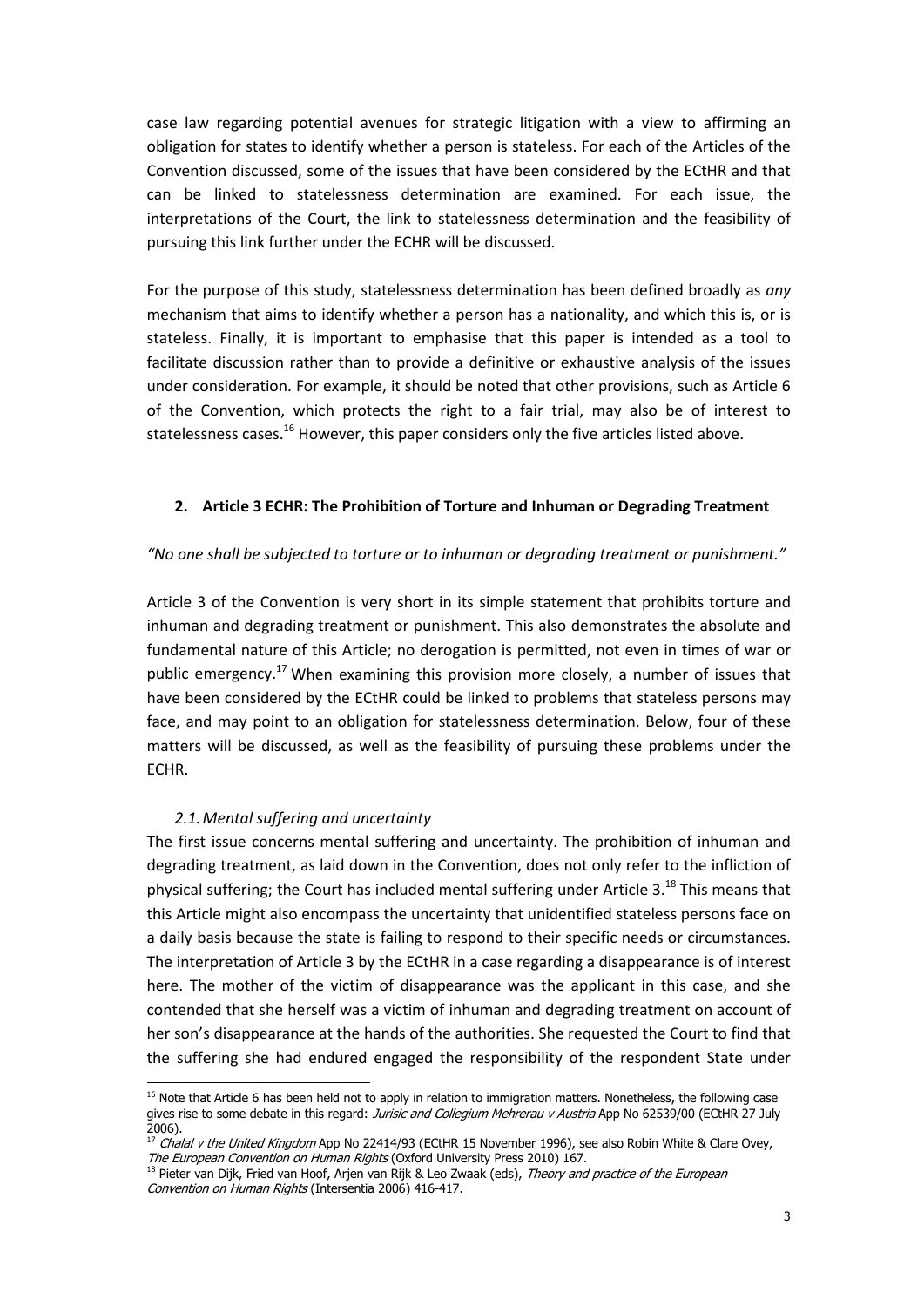case law regarding potential avenues for strategic litigation with a view to affirming an obligation for states to identify whether a person is stateless. For each of the Articles of the Convention discussed, some of the issues that have been considered by the ECtHR and that can be linked to statelessness determination are examined. For each issue, the interpretations of the Court, the link to statelessness determination and the feasibility of pursuing this link further under the ECHR will be discussed.

For the purpose of this study, statelessness determination has been defined broadly as any mechanism that aims to identify whether a person has a nationality, and which this is, or is stateless. Finally, it is important to emphasise that this paper is intended as a tool to facilitate discussion rather than to provide a definitive or exhaustive analysis of the issues under consideration. For example, it should be noted that other provisions, such as Article 6 of the Convention, which protects the right to a fair trial, may also be of interest to statelessness cases.<sup>16</sup> However, this paper considers only the five articles listed above.

#### 2. Article 3 ECHR: The Prohibition of Torture and Inhuman or Degrading Treatment

#### "No one shall be subjected to torture or to inhuman or degrading treatment or punishment."

Article 3 of the Convention is very short in its simple statement that prohibits torture and inhuman and degrading treatment or punishment. This also demonstrates the absolute and fundamental nature of this Article; no derogation is permitted, not even in times of war or public emergency.<sup>17</sup> When examining this provision more closely, a number of issues that have been considered by the ECtHR could be linked to problems that stateless persons may face, and may point to an obligation for statelessness determination. Below, four of these matters will be discussed, as well as the feasibility of pursuing these problems under the ECHR.

#### 2.1.Mental suffering and uncertainty

The first issue concerns mental suffering and uncertainty. The prohibition of inhuman and degrading treatment, as laid down in the Convention, does not only refer to the infliction of physical suffering; the Court has included mental suffering under Article 3.<sup>18</sup> This means that this Article might also encompass the uncertainty that unidentified stateless persons face on a daily basis because the state is failing to respond to their specific needs or circumstances. The interpretation of Article 3 by the ECtHR in a case regarding a disappearance is of interest here. The mother of the victim of disappearance was the applicant in this case, and she contended that she herself was a victim of inhuman and degrading treatment on account of her son's disappearance at the hands of the authorities. She requested the Court to find that the suffering she had endured engaged the responsibility of the respondent State under

 16 Note that Article 6 has been held not to apply in relation to immigration matters. Nonetheless, the following case gives rise to some debate in this regard: Jurisic and Collegium Mehrerau v Austria App No 62539/00 (ECtHR 27 July 2006).

 $^{17}$  Chalal v the United Kingdom App No 22414/93 (ECtHR 15 November 1996), see also Robin White & Clare Ovey, The European Convention on Human Rights (Oxford University Press 2010) 167.

<sup>&</sup>lt;sup>18</sup> Pieter van Dijk, Fried van Hoof, Arjen van Rijk & Leo Zwaak (eds), Theory and practice of the European Convention on Human Rights (Intersentia 2006) 416-417.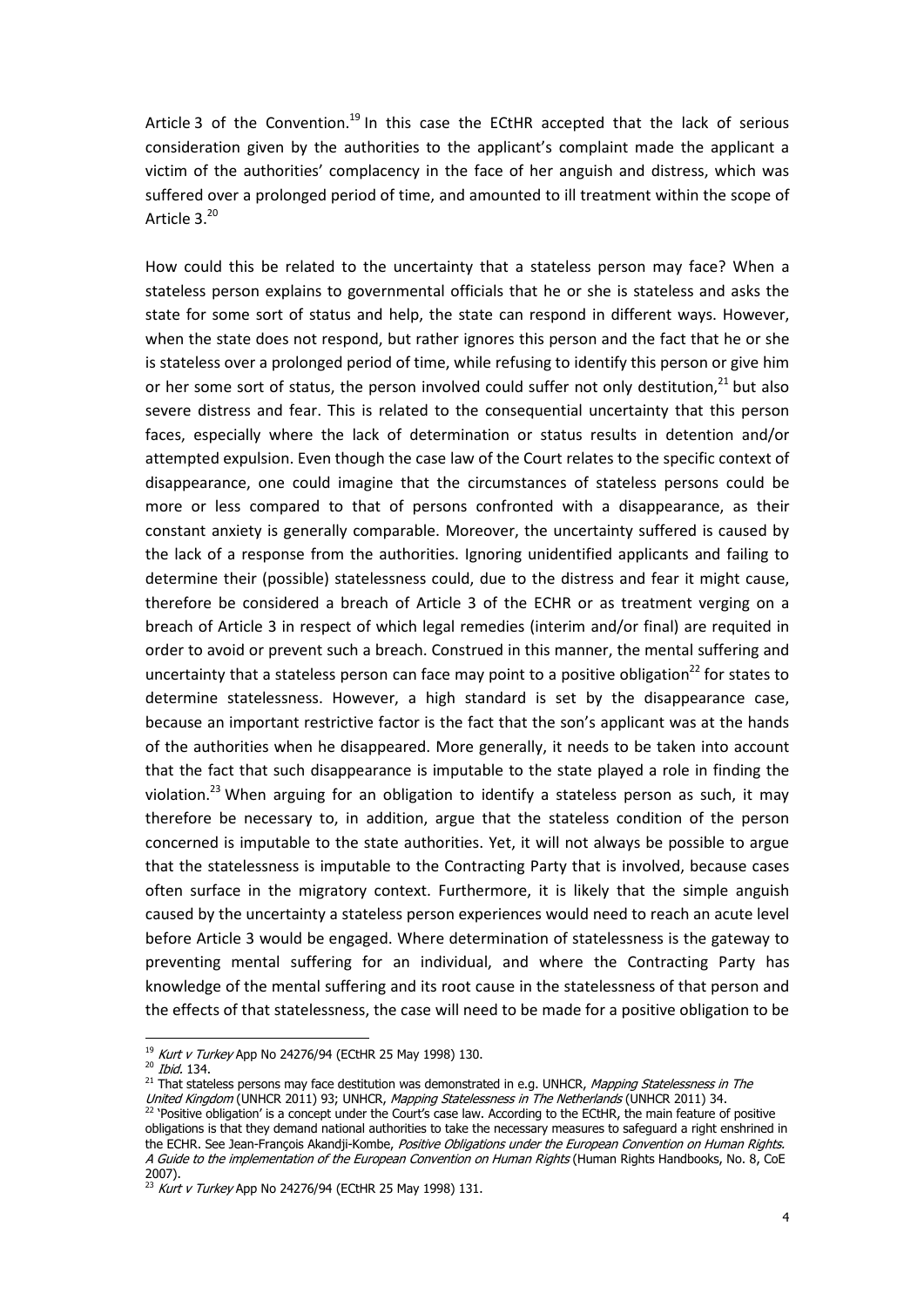Article 3 of the Convention.<sup>19</sup> In this case the ECtHR accepted that the lack of serious consideration given by the authorities to the applicant's complaint made the applicant a victim of the authorities' complacency in the face of her anguish and distress, which was suffered over a prolonged period of time, and amounted to ill treatment within the scope of Article 3.20

How could this be related to the uncertainty that a stateless person may face? When a stateless person explains to governmental officials that he or she is stateless and asks the state for some sort of status and help, the state can respond in different ways. However, when the state does not respond, but rather ignores this person and the fact that he or she is stateless over a prolonged period of time, while refusing to identify this person or give him or her some sort of status, the person involved could suffer not only destitution.<sup>21</sup> but also severe distress and fear. This is related to the consequential uncertainty that this person faces, especially where the lack of determination or status results in detention and/or attempted expulsion. Even though the case law of the Court relates to the specific context of disappearance, one could imagine that the circumstances of stateless persons could be more or less compared to that of persons confronted with a disappearance, as their constant anxiety is generally comparable. Moreover, the uncertainty suffered is caused by the lack of a response from the authorities. Ignoring unidentified applicants and failing to determine their (possible) statelessness could, due to the distress and fear it might cause, therefore be considered a breach of Article 3 of the ECHR or as treatment verging on a breach of Article 3 in respect of which legal remedies (interim and/or final) are requited in order to avoid or prevent such a breach. Construed in this manner, the mental suffering and uncertainty that a stateless person can face may point to a positive obligation<sup>22</sup> for states to determine statelessness. However, a high standard is set by the disappearance case, because an important restrictive factor is the fact that the son's applicant was at the hands of the authorities when he disappeared. More generally, it needs to be taken into account that the fact that such disappearance is imputable to the state played a role in finding the violation.<sup>23</sup> When arguing for an obligation to identify a stateless person as such, it may therefore be necessary to, in addition, argue that the stateless condition of the person concerned is imputable to the state authorities. Yet, it will not always be possible to argue that the statelessness is imputable to the Contracting Party that is involved, because cases often surface in the migratory context. Furthermore, it is likely that the simple anguish caused by the uncertainty a stateless person experiences would need to reach an acute level before Article 3 would be engaged. Where determination of statelessness is the gateway to preventing mental suffering for an individual, and where the Contracting Party has knowledge of the mental suffering and its root cause in the statelessness of that person and the effects of that statelessness, the case will need to be made for a positive obligation to be

 $20$  *Ibid.* 134.

 <sup>19</sup> Kurt v Turkey App No 24276/94 (ECtHR 25 May 1998) 130.

<sup>&</sup>lt;sup>21</sup> That stateless persons may face destitution was demonstrated in e.g. UNHCR, *Mapping Statelessness in The* United Kingdom (UNHCR 2011) 93; UNHCR, Mapping Statelessness in The Netherlands (UNHCR 2011) 34. <sup>22</sup> 'Positive obligation' is a concept under the Court's case law. According to the ECtHR, the main feature of positive

obligations is that they demand national authorities to take the necessary measures to safeguard a right enshrined in the ECHR. See Jean-François Akandji-Kombe, Positive Obligations under the European Convention on Human Rights. A Guide to the implementation of the European Convention on Human Rights (Human Rights Handbooks, No. 8, CoE 2007).

<sup>&</sup>lt;sup>23</sup> Kurt v Turkey App No 24276/94 (ECtHR 25 May 1998) 131.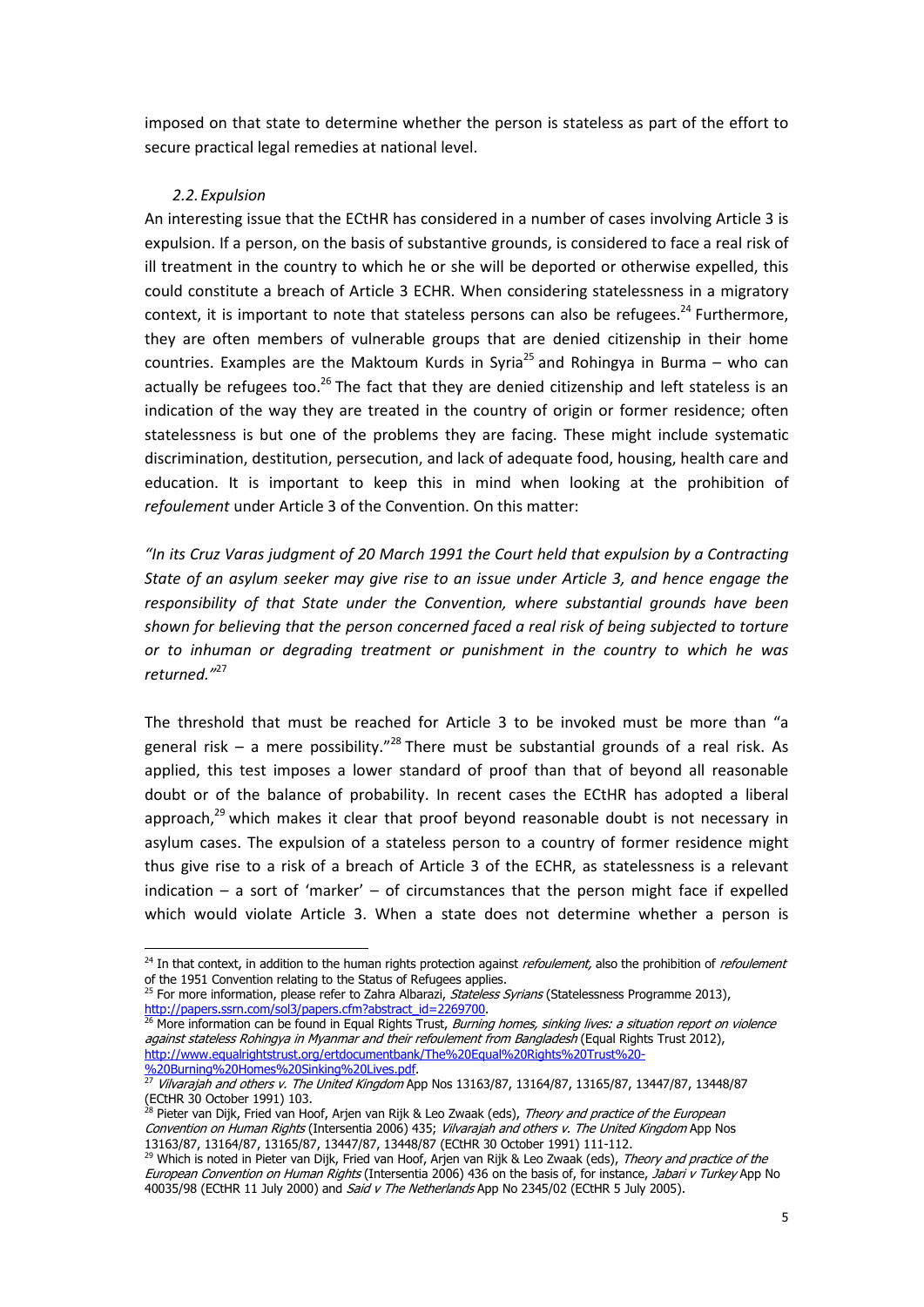imposed on that state to determine whether the person is stateless as part of the effort to secure practical legal remedies at national level.

# 2.2.Expulsion

An interesting issue that the ECtHR has considered in a number of cases involving Article 3 is expulsion. If a person, on the basis of substantive grounds, is considered to face a real risk of ill treatment in the country to which he or she will be deported or otherwise expelled, this could constitute a breach of Article 3 ECHR. When considering statelessness in a migratory context, it is important to note that stateless persons can also be refugees.<sup>24</sup> Furthermore, they are often members of vulnerable groups that are denied citizenship in their home countries. Examples are the Maktoum Kurds in Syria<sup>25</sup> and Rohingya in Burma – who can actually be refugees too.<sup>26</sup> The fact that they are denied citizenship and left stateless is an indication of the way they are treated in the country of origin or former residence; often statelessness is but one of the problems they are facing. These might include systematic discrimination, destitution, persecution, and lack of adequate food, housing, health care and education. It is important to keep this in mind when looking at the prohibition of refoulement under Article 3 of the Convention. On this matter:

"In its Cruz Varas judgment of 20 March 1991 the Court held that expulsion by a Contracting State of an asylum seeker may give rise to an issue under Article 3, and hence engage the responsibility of that State under the Convention, where substantial grounds have been shown for believing that the person concerned faced a real risk of being subjected to torture or to inhuman or degrading treatment or punishment in the country to which he was returned  $v^{27}$ 

The threshold that must be reached for Article 3 to be invoked must be more than "a general risk – a mere possibility.<sup>"28</sup> There must be substantial grounds of a real risk. As applied, this test imposes a lower standard of proof than that of beyond all reasonable doubt or of the balance of probability. In recent cases the ECtHR has adopted a liberal approach, $^{29}$  which makes it clear that proof beyond reasonable doubt is not necessary in asylum cases. The expulsion of a stateless person to a country of former residence might thus give rise to a risk of a breach of Article 3 of the ECHR, as statelessness is a relevant indication  $-$  a sort of 'marker'  $-$  of circumstances that the person might face if expelled which would violate Article 3. When a state does not determine whether a person is

<sup>25</sup> For more information, please refer to Zahra Albarazi, Stateless Syrians (Statelessness Programme 2013), http://papers.ssrn.com/sol3/papers.cfm?abstract\_id=2269700.<br><sup>26</sup> More information can be found in Equal Rights Trust, *Burning homes, sinking lives: a situation report on violence* 

<sup>24</sup> In that context, in addition to the human rights protection against *refoulement,* also the prohibition of *refoulement* of the 1951 Convention relating to the Status of Refugees applies.

against stateless Rohingya in Myanmar and their refoulement from Bangladesh (Equal Rights Trust 2012), http://www.equalrightstrust.org/ertdocumentbank/The%20Equal%20Rights%20Trust%20- %20Burning%20Homes%20Sinking%20Lives.pdf.

 $\frac{27}{27}$  Vilvarajah and others v. The United Kingdom App Nos 13163/87, 13164/87, 13165/87, 13447/87, 13448/87 (ECtHR 30 October 1991) 103.

<sup>&</sup>lt;sup>28</sup> Pieter van Dijk, Fried van Hoof, Arjen van Rijk & Leo Zwaak (eds), *Theory and practice of the European* Convention on Human Rights (Intersentia 2006) 435; Vilvarajah and others v. The United Kingdom App Nos 13163/87, 13164/87, 13165/87, 13447/87, 13448/87 (ECtHR 30 October 1991) 111-112.

<sup>&</sup>lt;sup>29</sup> Which is noted in Pieter van Dijk, Fried van Hoof, Arjen van Rijk & Leo Zwaak (eds), *Theory and practice of the* European Convention on Human Rights (Intersentia 2006) 436 on the basis of, for instance, Jabari v Turkey App No 40035/98 (ECtHR 11 July 2000) and Said v The Netherlands App No 2345/02 (ECtHR 5 July 2005).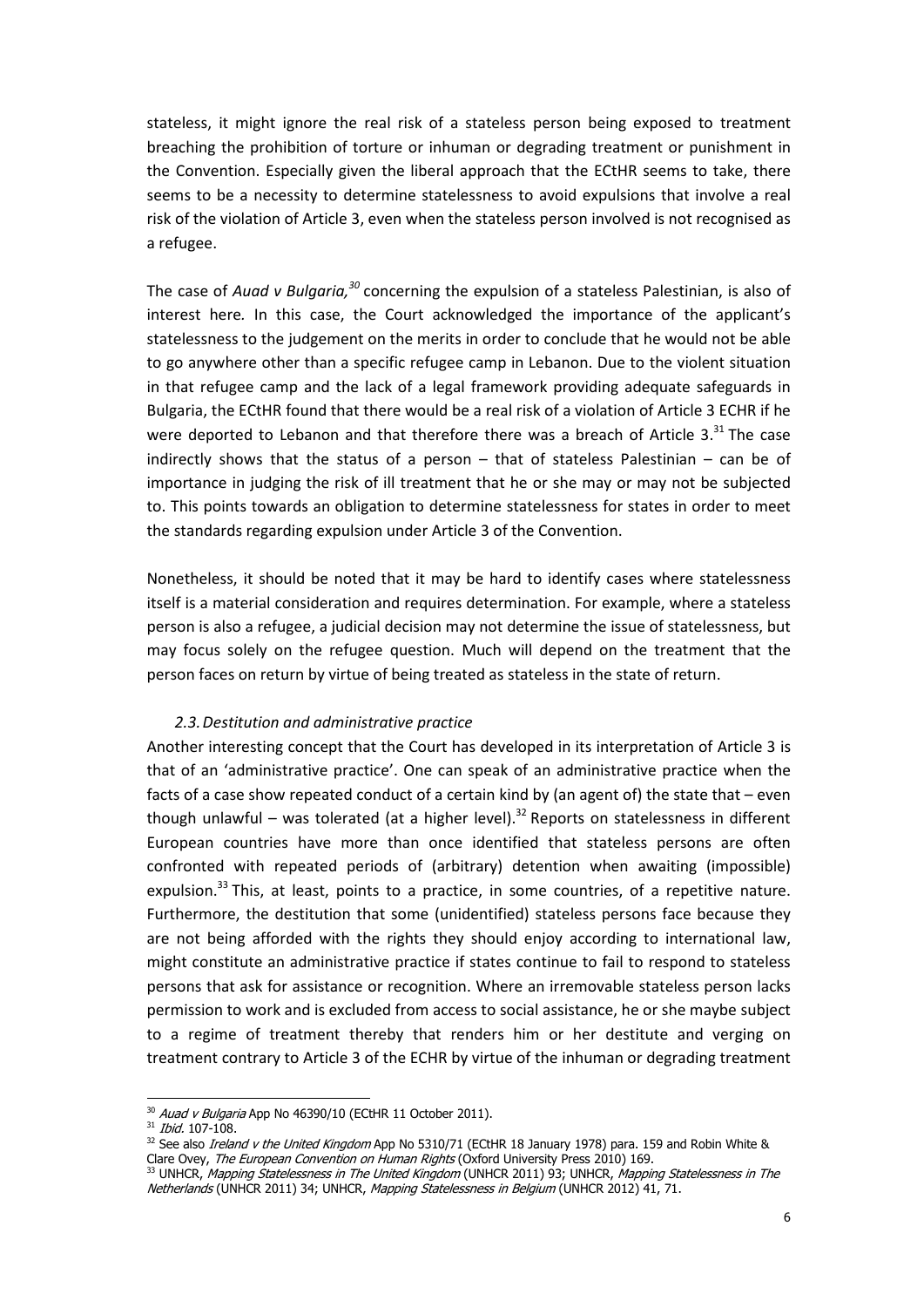stateless, it might ignore the real risk of a stateless person being exposed to treatment breaching the prohibition of torture or inhuman or degrading treatment or punishment in the Convention. Especially given the liberal approach that the ECtHR seems to take, there seems to be a necessity to determine statelessness to avoid expulsions that involve a real risk of the violation of Article 3, even when the stateless person involved is not recognised as a refugee.

The case of Auad v Bulgaria,  $30$  concerning the expulsion of a stateless Palestinian, is also of interest here. In this case, the Court acknowledged the importance of the applicant's statelessness to the judgement on the merits in order to conclude that he would not be able to go anywhere other than a specific refugee camp in Lebanon. Due to the violent situation in that refugee camp and the lack of a legal framework providing adequate safeguards in Bulgaria, the ECtHR found that there would be a real risk of a violation of Article 3 ECHR if he were deported to Lebanon and that therefore there was a breach of Article 3. $31$  The case indirectly shows that the status of a person – that of stateless Palestinian – can be of importance in judging the risk of ill treatment that he or she may or may not be subjected to. This points towards an obligation to determine statelessness for states in order to meet the standards regarding expulsion under Article 3 of the Convention.

Nonetheless, it should be noted that it may be hard to identify cases where statelessness itself is a material consideration and requires determination. For example, where a stateless person is also a refugee, a judicial decision may not determine the issue of statelessness, but may focus solely on the refugee question. Much will depend on the treatment that the person faces on return by virtue of being treated as stateless in the state of return.

# 2.3.Destitution and administrative practice

Another interesting concept that the Court has developed in its interpretation of Article 3 is that of an 'administrative practice'. One can speak of an administrative practice when the facts of a case show repeated conduct of a certain kind by (an agent of) the state that – even though unlawful – was tolerated (at a higher level).<sup>32</sup> Reports on statelessness in different European countries have more than once identified that stateless persons are often confronted with repeated periods of (arbitrary) detention when awaiting (impossible) expulsion. $^{33}$  This, at least, points to a practice, in some countries, of a repetitive nature. Furthermore, the destitution that some (unidentified) stateless persons face because they are not being afforded with the rights they should enjoy according to international law, might constitute an administrative practice if states continue to fail to respond to stateless persons that ask for assistance or recognition. Where an irremovable stateless person lacks permission to work and is excluded from access to social assistance, he or she maybe subject to a regime of treatment thereby that renders him or her destitute and verging on treatment contrary to Article 3 of the ECHR by virtue of the inhuman or degrading treatment

 $\frac{30}{30}$  *Auad v Bulgaria* App No 46390/10 (ECtHR 11 October 2011).

<sup>&</sup>lt;sup>31</sup> *Ibid.* 107-108.

<sup>&</sup>lt;sup>32</sup> See also *Ireland v the United Kingdom* App No 5310/71 (ECtHR 18 January 1978) para. 159 and Robin White & Clare Ovey, The European Convention on Human Rights (Oxford University Press 2010) 169.

<sup>&</sup>lt;sup>33</sup> UNHCR, Mapping Statelessness in The United Kingdom (UNHCR 2011) 93; UNHCR, Mapping Statelessness in The Netherlands (UNHCR 2011) 34; UNHCR, Mapping Statelessness in Belgium (UNHCR 2012) 41, 71.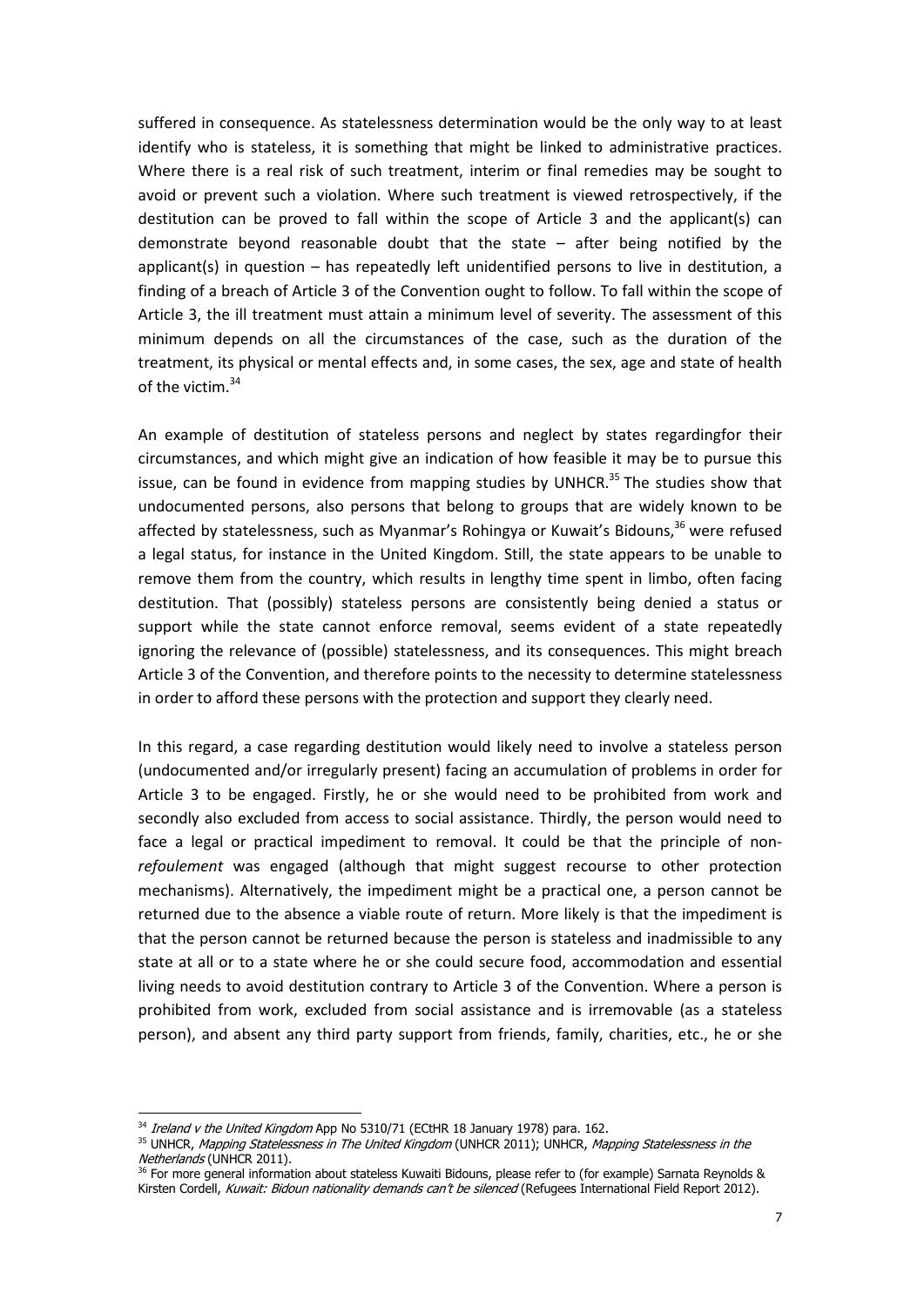suffered in consequence. As statelessness determination would be the only way to at least identify who is stateless, it is something that might be linked to administrative practices. Where there is a real risk of such treatment, interim or final remedies may be sought to avoid or prevent such a violation. Where such treatment is viewed retrospectively, if the destitution can be proved to fall within the scope of Article 3 and the applicant(s) can demonstrate beyond reasonable doubt that the state – after being notified by the applicant(s) in question – has repeatedly left unidentified persons to live in destitution, a finding of a breach of Article 3 of the Convention ought to follow. To fall within the scope of Article 3, the ill treatment must attain a minimum level of severity. The assessment of this minimum depends on all the circumstances of the case, such as the duration of the treatment, its physical or mental effects and, in some cases, the sex, age and state of health of the victim.<sup>34</sup>

An example of destitution of stateless persons and neglect by states regardingfor their circumstances, and which might give an indication of how feasible it may be to pursue this issue, can be found in evidence from mapping studies by UNHCR.<sup>35</sup> The studies show that undocumented persons, also persons that belong to groups that are widely known to be affected by statelessness, such as Myanmar's Rohingya or Kuwait's Bidouns, $36$  were refused a legal status, for instance in the United Kingdom. Still, the state appears to be unable to remove them from the country, which results in lengthy time spent in limbo, often facing destitution. That (possibly) stateless persons are consistently being denied a status or support while the state cannot enforce removal, seems evident of a state repeatedly ignoring the relevance of (possible) statelessness, and its consequences. This might breach Article 3 of the Convention, and therefore points to the necessity to determine statelessness in order to afford these persons with the protection and support they clearly need.

In this regard, a case regarding destitution would likely need to involve a stateless person (undocumented and/or irregularly present) facing an accumulation of problems in order for Article 3 to be engaged. Firstly, he or she would need to be prohibited from work and secondly also excluded from access to social assistance. Thirdly, the person would need to face a legal or practical impediment to removal. It could be that the principle of nonrefoulement was engaged (although that might suggest recourse to other protection mechanisms). Alternatively, the impediment might be a practical one, a person cannot be returned due to the absence a viable route of return. More likely is that the impediment is that the person cannot be returned because the person is stateless and inadmissible to any state at all or to a state where he or she could secure food, accommodation and essential living needs to avoid destitution contrary to Article 3 of the Convention. Where a person is prohibited from work, excluded from social assistance and is irremovable (as a stateless person), and absent any third party support from friends, family, charities, etc., he or she

 $\frac{34}{3}$  *Ireland v the United Kingdom* App No 5310/71 (ECtHR 18 January 1978) para. 162.

<sup>&</sup>lt;sup>35</sup> UNHCR, Mapping Statelessness in The United Kingdom (UNHCR 2011); UNHCR, Mapping Statelessness in the Netherlands (UNHCR 2011).

<sup>&</sup>lt;sup>36</sup> For more general information about stateless Kuwaiti Bidouns, please refer to (for example) Sarnata Reynolds & Kirsten Cordell, Kuwait: Bidoun nationality demands can't be silenced (Refugees International Field Report 2012).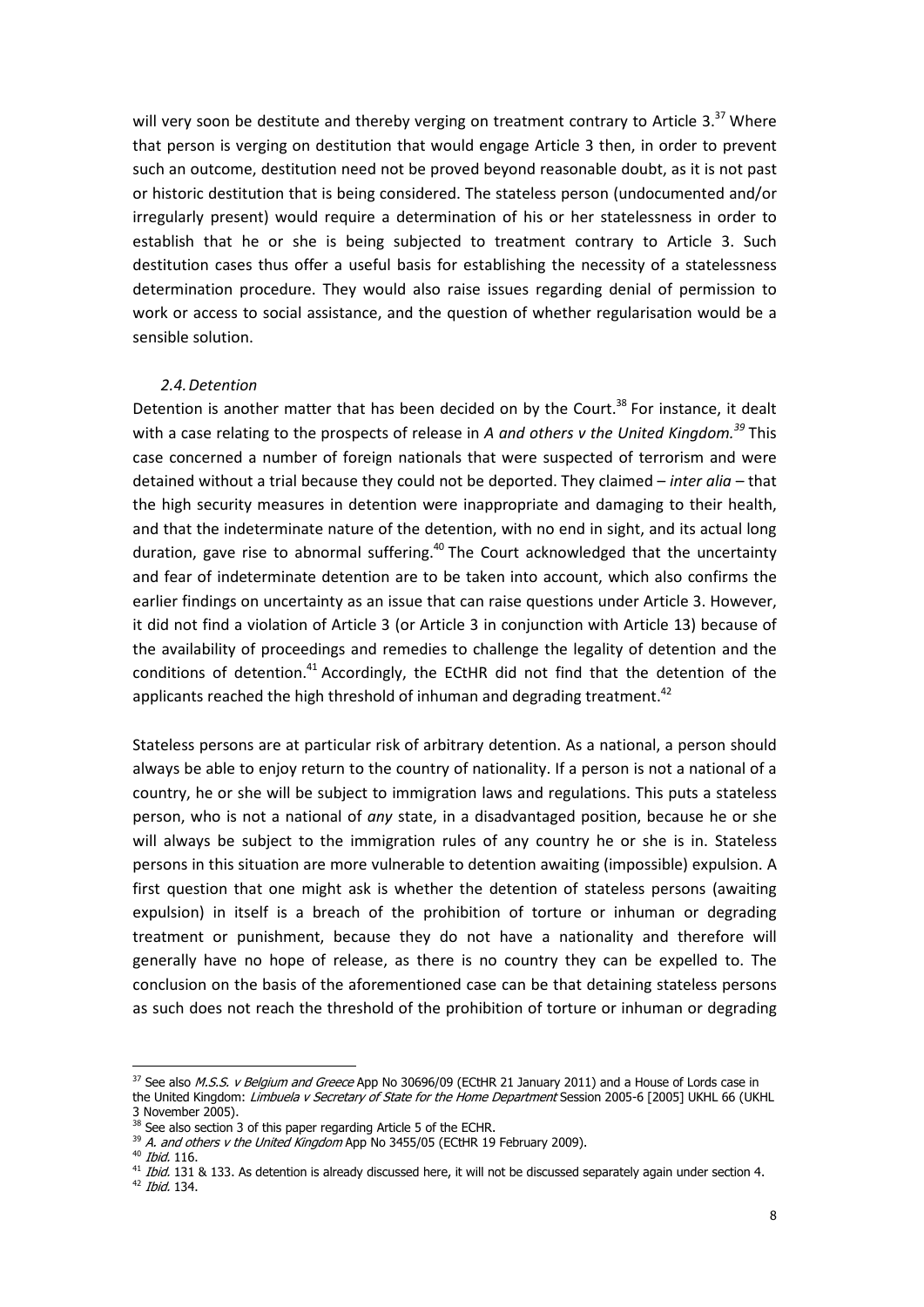will very soon be destitute and thereby verging on treatment contrary to Article 3. $37$  Where that person is verging on destitution that would engage Article 3 then, in order to prevent such an outcome, destitution need not be proved beyond reasonable doubt, as it is not past or historic destitution that is being considered. The stateless person (undocumented and/or irregularly present) would require a determination of his or her statelessness in order to establish that he or she is being subjected to treatment contrary to Article 3. Such destitution cases thus offer a useful basis for establishing the necessity of a statelessness determination procedure. They would also raise issues regarding denial of permission to work or access to social assistance, and the question of whether regularisation would be a sensible solution.

# 2.4.Detention

Detention is another matter that has been decided on by the Court.<sup>38</sup> For instance, it dealt with a case relating to the prospects of release in A and others v the United Kingdom.<sup>39</sup> This case concerned a number of foreign nationals that were suspected of terrorism and were detained without a trial because they could not be deported. They claimed – inter alia – that the high security measures in detention were inappropriate and damaging to their health, and that the indeterminate nature of the detention, with no end in sight, and its actual long duration, gave rise to abnormal suffering. $40$  The Court acknowledged that the uncertainty and fear of indeterminate detention are to be taken into account, which also confirms the earlier findings on uncertainty as an issue that can raise questions under Article 3. However, it did not find a violation of Article 3 (or Article 3 in conjunction with Article 13) because of the availability of proceedings and remedies to challenge the legality of detention and the conditions of detention.<sup>41</sup> Accordingly, the ECtHR did not find that the detention of the applicants reached the high threshold of inhuman and degrading treatment.<sup>42</sup>

Stateless persons are at particular risk of arbitrary detention. As a national, a person should always be able to enjoy return to the country of nationality. If a person is not a national of a country, he or she will be subject to immigration laws and regulations. This puts a stateless person, who is not a national of any state, in a disadvantaged position, because he or she will always be subject to the immigration rules of any country he or she is in. Stateless persons in this situation are more vulnerable to detention awaiting (impossible) expulsion. A first question that one might ask is whether the detention of stateless persons (awaiting expulsion) in itself is a breach of the prohibition of torture or inhuman or degrading treatment or punishment, because they do not have a nationality and therefore will generally have no hope of release, as there is no country they can be expelled to. The conclusion on the basis of the aforementioned case can be that detaining stateless persons as such does not reach the threshold of the prohibition of torture or inhuman or degrading

 $42$  *Ibid.* 134.

 $\frac{37}{32}$  See also *M.S.S. v Belgium and Greece* App No 30696/09 (ECtHR 21 January 2011) and a House of Lords case in the United Kingdom: Limbuela v Secretary of State for the Home Department Session 2005-6 [2005] UKHL 66 (UKHL 3 November 2005).

<sup>&</sup>lt;sup>38</sup> See also section 3 of this paper regarding Article 5 of the ECHR.

 $39$  A. and others v the United Kingdom App No 3455/05 (ECtHR 19 February 2009).

<sup>&</sup>lt;sup>40</sup> Ibid. 116.

 $41$  Ibid. 131 & 133. As detention is already discussed here, it will not be discussed separately again under section 4.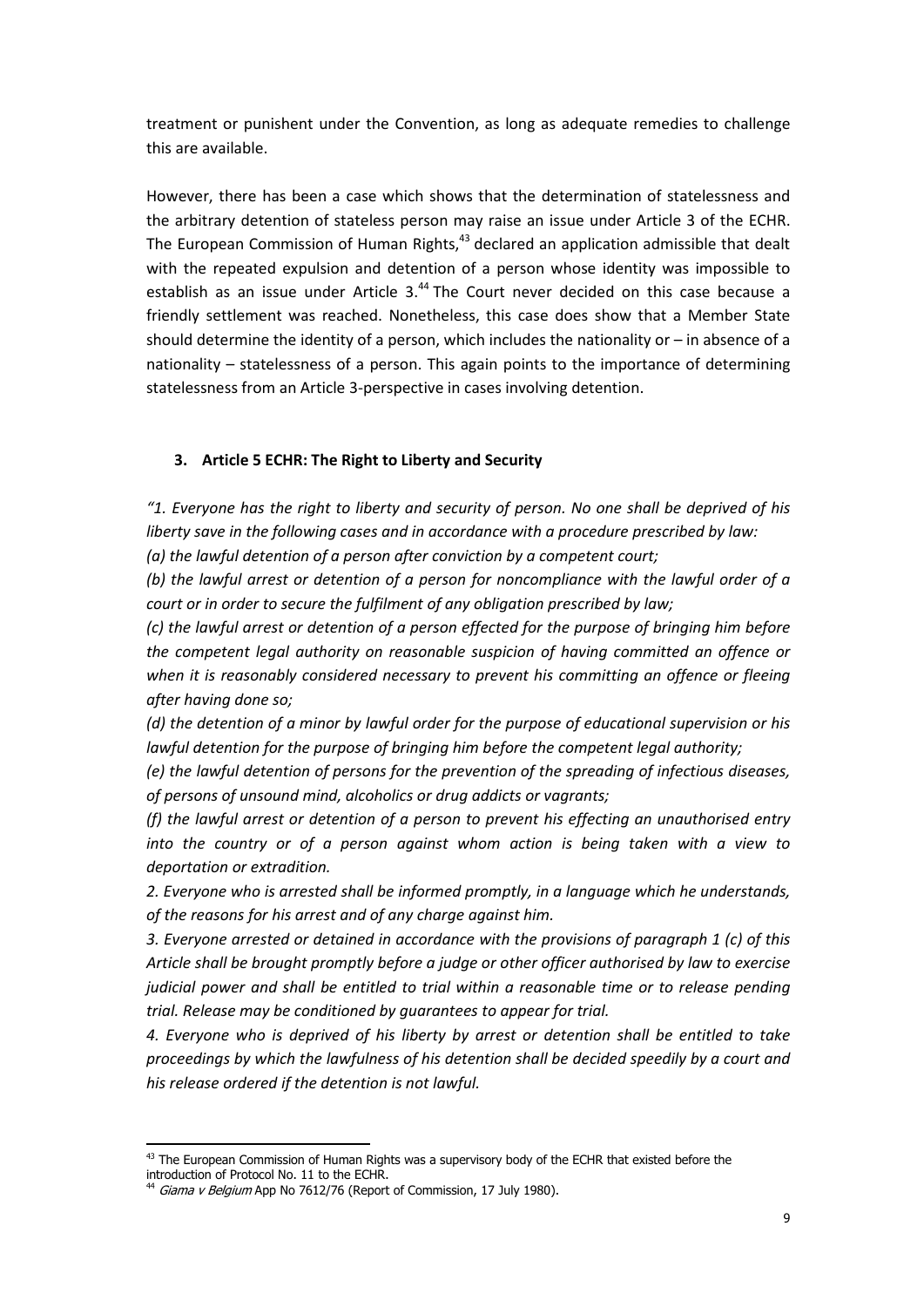treatment or punishent under the Convention, as long as adequate remedies to challenge this are available.

However, there has been a case which shows that the determination of statelessness and the arbitrary detention of stateless person may raise an issue under Article 3 of the ECHR. The European Commission of Human Rights, $43$  declared an application admissible that dealt with the repeated expulsion and detention of a person whose identity was impossible to establish as an issue under Article 3.<sup>44</sup> The Court never decided on this case because a friendly settlement was reached. Nonetheless, this case does show that a Member State should determine the identity of a person, which includes the nationality or – in absence of a nationality – statelessness of a person. This again points to the importance of determining statelessness from an Article 3-perspective in cases involving detention.

# 3. Article 5 ECHR: The Right to Liberty and Security

 $"1.$  Everyone has the right to liberty and security of person. No one shall be deprived of his liberty save in the following cases and in accordance with a procedure prescribed by law:

(a) the lawful detention of a person after conviction by a competent court;

(b) the lawful arrest or detention of a person for noncompliance with the lawful order of a court or in order to secure the fulfilment of any obligation prescribed by law;

(c) the lawful arrest or detention of a person effected for the purpose of bringing him before the competent legal authority on reasonable suspicion of having committed an offence or when it is reasonably considered necessary to prevent his committing an offence or fleeing after having done so;

(d) the detention of a minor by lawful order for the purpose of educational supervision or his lawful detention for the purpose of bringing him before the competent legal authority;

(e) the lawful detention of persons for the prevention of the spreading of infectious diseases, of persons of unsound mind, alcoholics or drug addicts or vagrants;

(f) the lawful arrest or detention of a person to prevent his effecting an unauthorised entry into the country or of a person against whom action is being taken with a view to deportation or extradition.

2. Everyone who is arrested shall be informed promptly, in a language which he understands, of the reasons for his arrest and of any charge against him.

3. Everyone arrested or detained in accordance with the provisions of paragraph 1 (c) of this Article shall be brought promptly before a judge or other officer authorised by law to exercise judicial power and shall be entitled to trial within a reasonable time or to release pending trial. Release may be conditioned by guarantees to appear for trial.

4. Everyone who is deprived of his liberty by arrest or detention shall be entitled to take proceedings by which the lawfulness of his detention shall be decided speedily by a court and his release ordered if the detention is not lawful.

 43 The European Commission of Human Rights was a supervisory body of the ECHR that existed before the introduction of Protocol No. 11 to the ECHR.

<sup>&</sup>lt;sup>44</sup> Giama v Belgium App No 7612/76 (Report of Commission, 17 July 1980).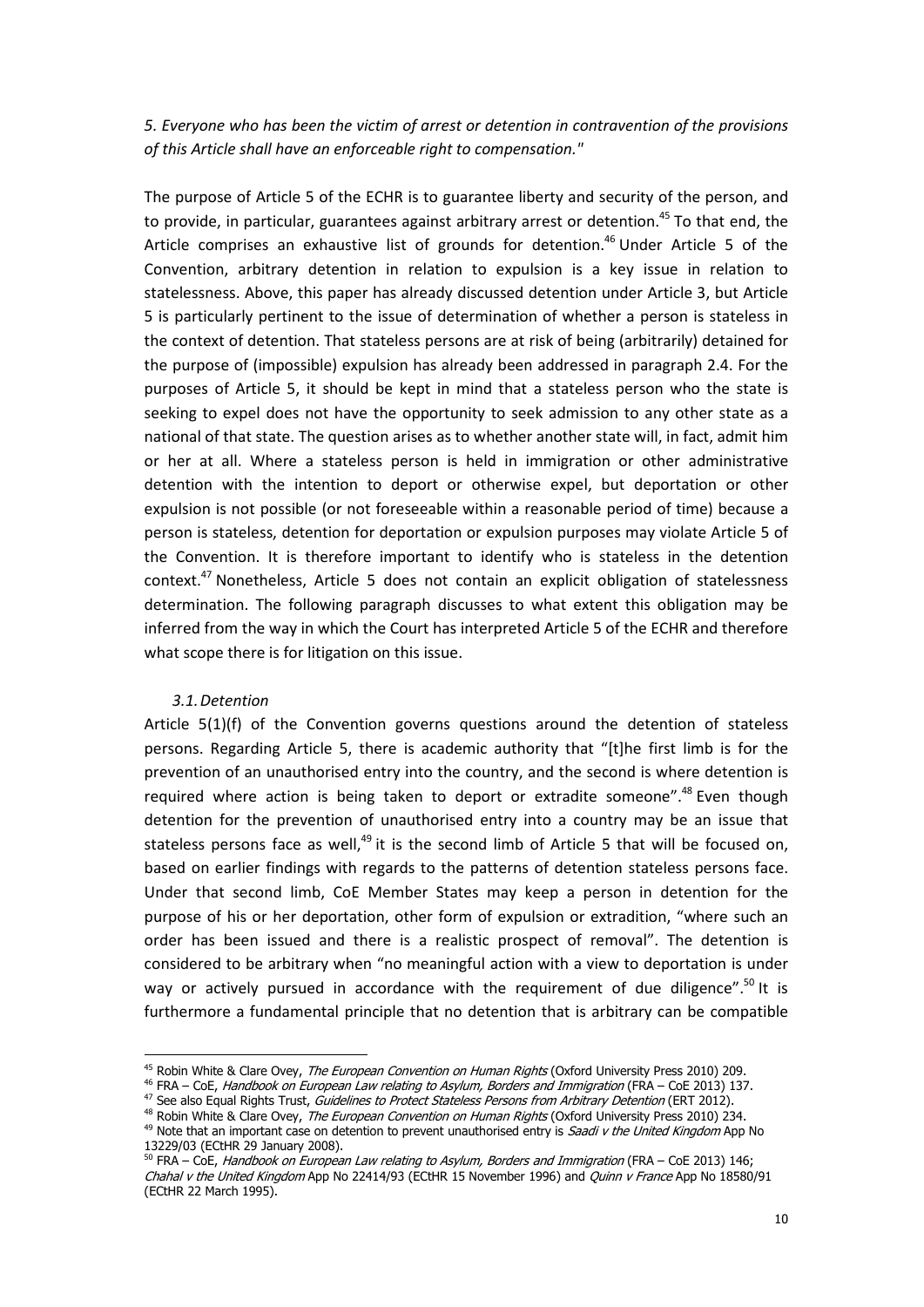5. Everyone who has been the victim of arrest or detention in contravention of the provisions of this Article shall have an enforceable right to compensation."

The purpose of Article 5 of the ECHR is to guarantee liberty and security of the person, and to provide, in particular, guarantees against arbitrary arrest or detention.<sup>45</sup> To that end, the Article comprises an exhaustive list of grounds for detention.<sup>46</sup> Under Article 5 of the Convention, arbitrary detention in relation to expulsion is a key issue in relation to statelessness. Above, this paper has already discussed detention under Article 3, but Article 5 is particularly pertinent to the issue of determination of whether a person is stateless in the context of detention. That stateless persons are at risk of being (arbitrarily) detained for the purpose of (impossible) expulsion has already been addressed in paragraph 2.4. For the purposes of Article 5, it should be kept in mind that a stateless person who the state is seeking to expel does not have the opportunity to seek admission to any other state as a national of that state. The question arises as to whether another state will, in fact, admit him or her at all. Where a stateless person is held in immigration or other administrative detention with the intention to deport or otherwise expel, but deportation or other expulsion is not possible (or not foreseeable within a reasonable period of time) because a person is stateless, detention for deportation or expulsion purposes may violate Article 5 of the Convention. It is therefore important to identify who is stateless in the detention context.<sup>47</sup> Nonetheless, Article 5 does not contain an explicit obligation of statelessness determination. The following paragraph discusses to what extent this obligation may be inferred from the way in which the Court has interpreted Article 5 of the ECHR and therefore what scope there is for litigation on this issue.

# 3.1.Detention

Article 5(1)(f) of the Convention governs questions around the detention of stateless persons. Regarding Article 5, there is academic authority that "[t]he first limb is for the prevention of an unauthorised entry into the country, and the second is where detention is required where action is being taken to deport or extradite someone".<sup>48</sup> Even though detention for the prevention of unauthorised entry into a country may be an issue that stateless persons face as well, $49$  it is the second limb of Article 5 that will be focused on, based on earlier findings with regards to the patterns of detention stateless persons face. Under that second limb, CoE Member States may keep a person in detention for the purpose of his or her deportation, other form of expulsion or extradition, "where such an order has been issued and there is a realistic prospect of removal". The detention is considered to be arbitrary when "no meaningful action with a view to deportation is under way or actively pursued in accordance with the requirement of due diligence".<sup>50</sup> It is furthermore a fundamental principle that no detention that is arbitrary can be compatible

 45 Robin White & Clare Ovey, The European Convention on Human Rights (Oxford University Press 2010) 209.

<sup>46</sup> FRA – CoE, Handbook on European Law relating to Asylum, Borders and Immigration (FRA – CoE 2013) 137.

<sup>&</sup>lt;sup>47</sup> See also Equal Rights Trust, Guidelines to Protect Stateless Persons from Arbitrary Detention (ERT 2012).

<sup>&</sup>lt;sup>48</sup> Robin White & Clare Ovey, The European Convention on Human Rights (Oxford University Press 2010) 234. <sup>49</sup> Note that an important case on detention to prevent unauthorised entry is *Saadi v the United Kingdom* App No 13229/03 (ECtHR 29 January 2008).

<sup>&</sup>lt;sup>50</sup> FRA – CoE, Handbook on European Law relating to Asylum, Borders and Immigration (FRA – CoE 2013) 146; Chahal v the United Kingdom App No 22414/93 (ECtHR 15 November 1996) and Quinn v France App No 18580/91 (ECtHR 22 March 1995).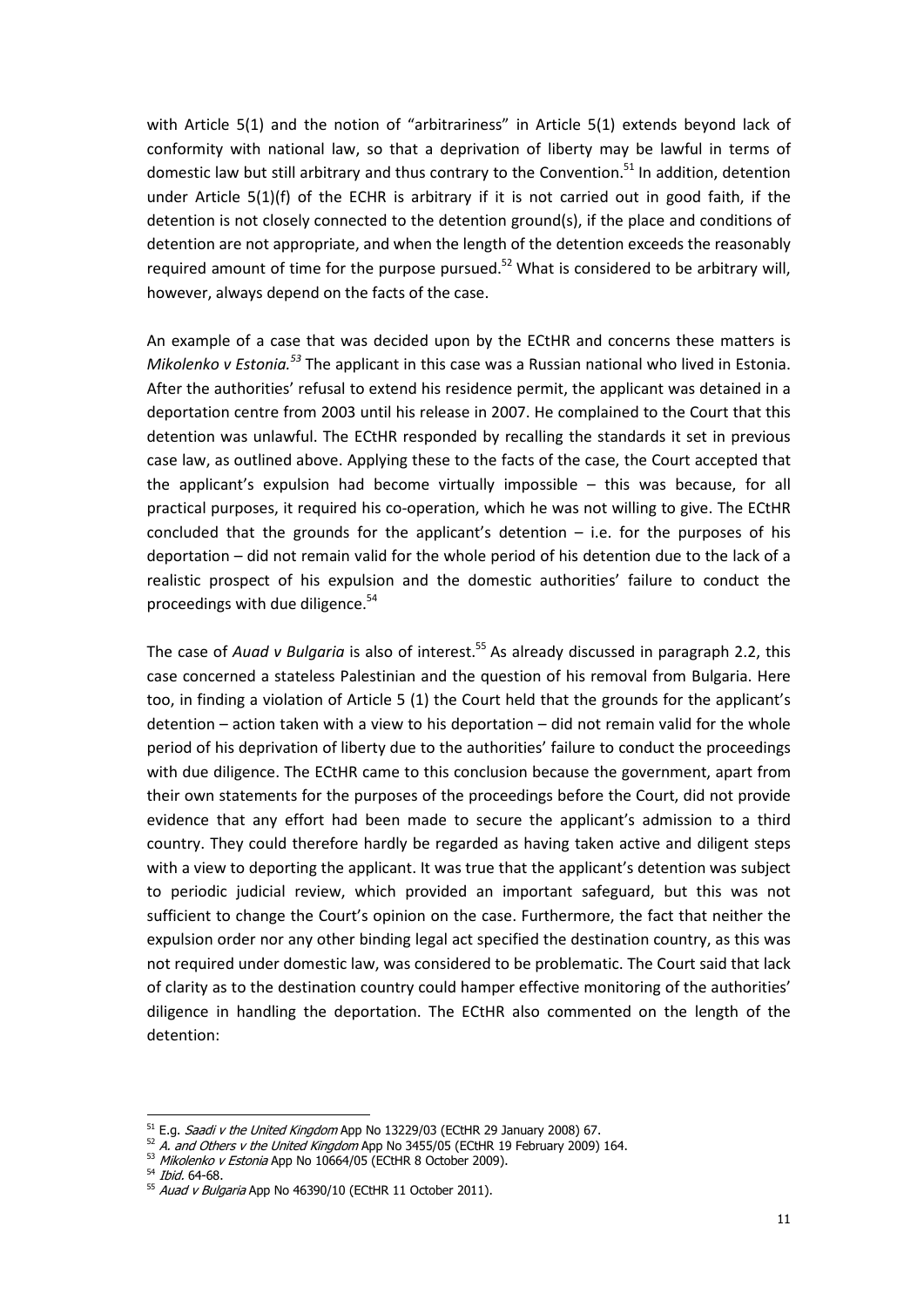with Article 5(1) and the notion of "arbitrariness" in Article 5(1) extends beyond lack of conformity with national law, so that a deprivation of liberty may be lawful in terms of domestic law but still arbitrary and thus contrary to the Convention.<sup>51</sup> In addition, detention under Article 5(1)(f) of the ECHR is arbitrary if it is not carried out in good faith, if the detention is not closely connected to the detention ground(s), if the place and conditions of detention are not appropriate, and when the length of the detention exceeds the reasonably required amount of time for the purpose pursued.<sup>52</sup> What is considered to be arbitrary will, however, always depend on the facts of the case.

An example of a case that was decided upon by the ECtHR and concerns these matters is Mikolenko v Estonia.<sup>53</sup> The applicant in this case was a Russian national who lived in Estonia. After the authorities' refusal to extend his residence permit, the applicant was detained in a deportation centre from 2003 until his release in 2007. He complained to the Court that this detention was unlawful. The ECtHR responded by recalling the standards it set in previous case law, as outlined above. Applying these to the facts of the case, the Court accepted that the applicant's expulsion had become virtually impossible – this was because, for all practical purposes, it required his co-operation, which he was not willing to give. The ECtHR concluded that the grounds for the applicant's detention  $-$  i.e. for the purposes of his deportation – did not remain valid for the whole period of his detention due to the lack of a realistic prospect of his expulsion and the domestic authorities' failure to conduct the proceedings with due diligence.<sup>54</sup>

The case of Auad v Bulgaria is also of interest.<sup>55</sup> As already discussed in paragraph 2.2, this case concerned a stateless Palestinian and the question of his removal from Bulgaria. Here too, in finding a violation of Article 5 (1) the Court held that the grounds for the applicant's detention – action taken with a view to his deportation – did not remain valid for the whole period of his deprivation of liberty due to the authorities' failure to conduct the proceedings with due diligence. The ECtHR came to this conclusion because the government, apart from their own statements for the purposes of the proceedings before the Court, did not provide evidence that any effort had been made to secure the applicant's admission to a third country. They could therefore hardly be regarded as having taken active and diligent steps with a view to deporting the applicant. It was true that the applicant's detention was subject to periodic judicial review, which provided an important safeguard, but this was not sufficient to change the Court's opinion on the case. Furthermore, the fact that neither the expulsion order nor any other binding legal act specified the destination country, as this was not required under domestic law, was considered to be problematic. The Court said that lack of clarity as to the destination country could hamper effective monitoring of the authorities' diligence in handling the deportation. The ECtHR also commented on the length of the detention:

<sup>51</sup> E.g. *Saadi v the United Kingdom* App No 13229/03 (ECtHR 29 January 2008) 67.

 $52$  A. and Others v the United Kingdom App No 3455/05 (ECtHR 19 February 2009) 164.

<sup>53</sup> Mikolenko v Estonia App No 10664/05 (ECtHR 8 October 2009).

<sup>54</sup> Ibid. 64-68.

 $55$  Auad v Bulgaria App No 46390/10 (ECtHR 11 October 2011).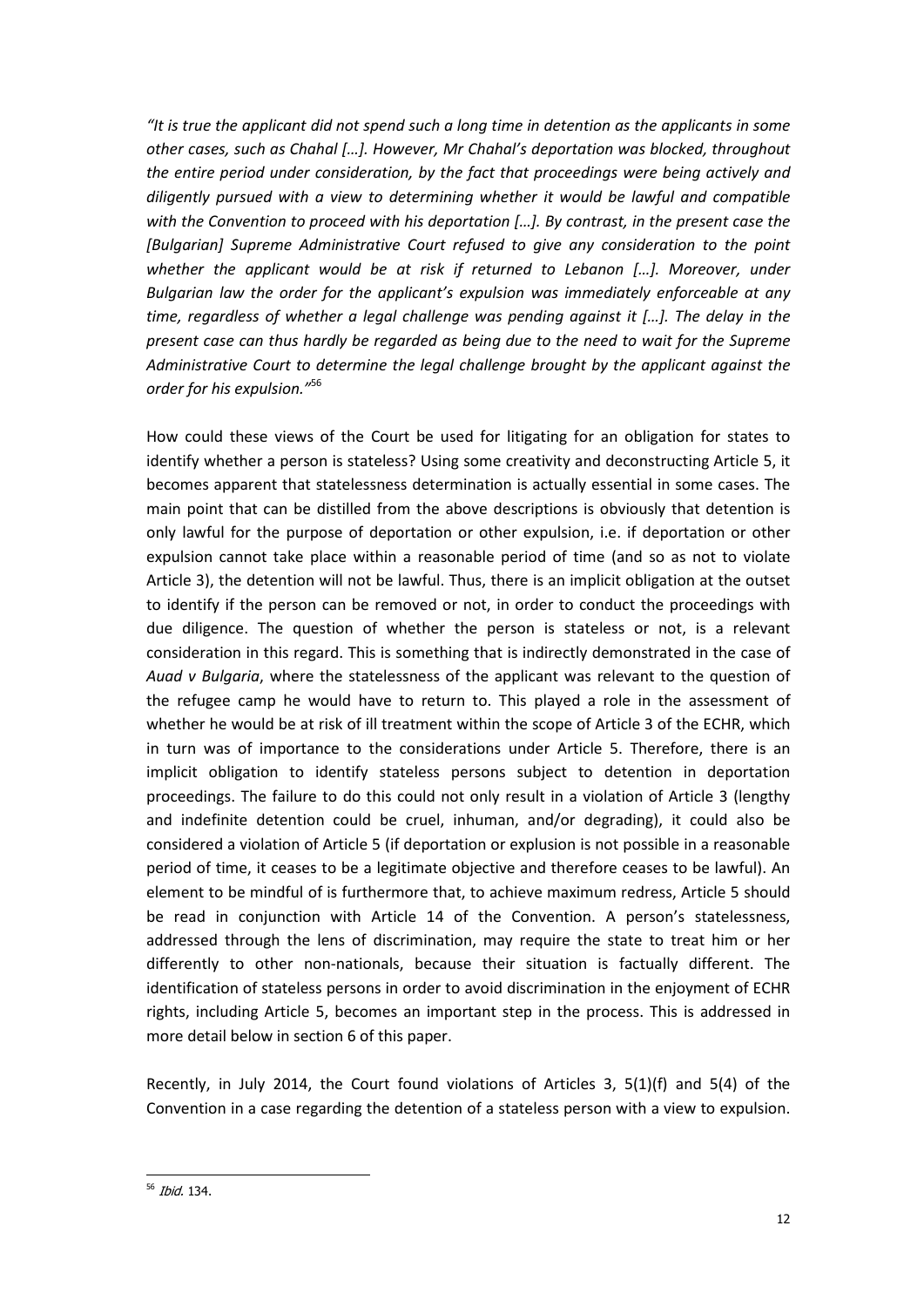"It is true the applicant did not spend such a long time in detention as the applicants in some other cases, such as Chahal […]. However, Mr Chahal's deportation was blocked, throughout the entire period under consideration, by the fact that proceedings were being actively and diligently pursued with a view to determining whether it would be lawful and compatible with the Convention to proceed with his deportation [...]. By contrast, in the present case the [Bulgarian] Supreme Administrative Court refused to give any consideration to the point whether the applicant would be at risk if returned to Lebanon [...]. Moreover, under Bulgarian law the order for the applicant's expulsion was immediately enforceable at any time, regardless of whether a legal challenge was pending against it […]. The delay in the present case can thus hardly be regarded as being due to the need to wait for the Supreme Administrative Court to determine the legal challenge brought by the applicant against the order for his expulsion."<sup>56</sup>

How could these views of the Court be used for litigating for an obligation for states to identify whether a person is stateless? Using some creativity and deconstructing Article 5, it becomes apparent that statelessness determination is actually essential in some cases. The main point that can be distilled from the above descriptions is obviously that detention is only lawful for the purpose of deportation or other expulsion, i.e. if deportation or other expulsion cannot take place within a reasonable period of time (and so as not to violate Article 3), the detention will not be lawful. Thus, there is an implicit obligation at the outset to identify if the person can be removed or not, in order to conduct the proceedings with due diligence. The question of whether the person is stateless or not, is a relevant consideration in this regard. This is something that is indirectly demonstrated in the case of Auad v Bulgaria, where the statelessness of the applicant was relevant to the question of the refugee camp he would have to return to. This played a role in the assessment of whether he would be at risk of ill treatment within the scope of Article 3 of the ECHR, which in turn was of importance to the considerations under Article 5. Therefore, there is an implicit obligation to identify stateless persons subject to detention in deportation proceedings. The failure to do this could not only result in a violation of Article 3 (lengthy and indefinite detention could be cruel, inhuman, and/or degrading), it could also be considered a violation of Article 5 (if deportation or explusion is not possible in a reasonable period of time, it ceases to be a legitimate objective and therefore ceases to be lawful). An element to be mindful of is furthermore that, to achieve maximum redress, Article 5 should be read in conjunction with Article 14 of the Convention. A person's statelessness, addressed through the lens of discrimination, may require the state to treat him or her differently to other non-nationals, because their situation is factually different. The identification of stateless persons in order to avoid discrimination in the enjoyment of ECHR rights, including Article 5, becomes an important step in the process. This is addressed in more detail below in section 6 of this paper.

Recently, in July 2014, the Court found violations of Articles 3, 5(1)(f) and 5(4) of the Convention in a case regarding the detention of a stateless person with a view to expulsion.

<sup>&</sup>lt;sub>56</sub> Ibid. 134.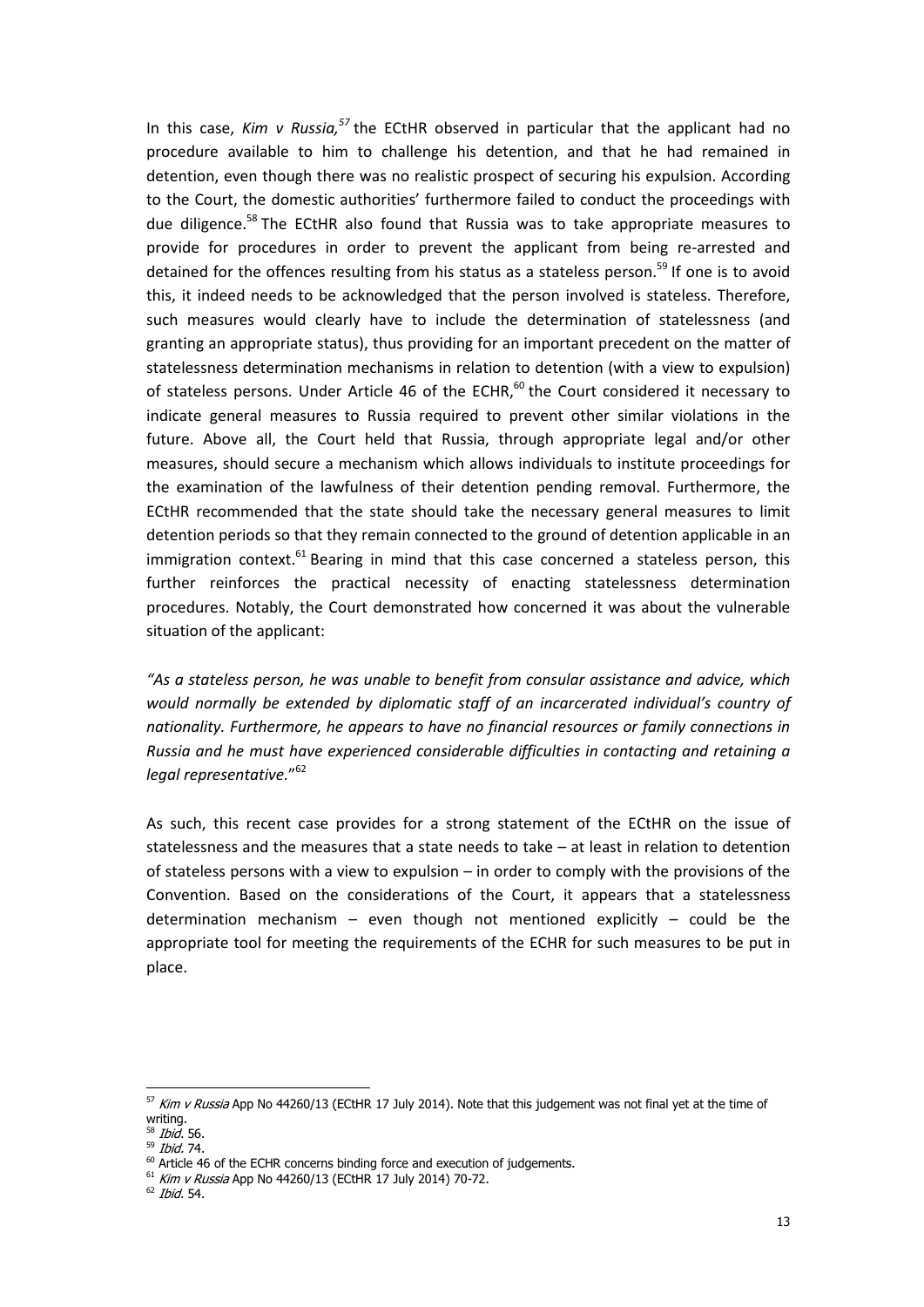In this case, Kim v Russia,  $57$  the ECtHR observed in particular that the applicant had no procedure available to him to challenge his detention, and that he had remained in detention, even though there was no realistic prospect of securing his expulsion. According to the Court, the domestic authorities' furthermore failed to conduct the proceedings with due diligence.<sup>58</sup> The ECtHR also found that Russia was to take appropriate measures to provide for procedures in order to prevent the applicant from being re-arrested and detained for the offences resulting from his status as a stateless person.<sup>59</sup> If one is to avoid this, it indeed needs to be acknowledged that the person involved is stateless. Therefore, such measures would clearly have to include the determination of statelessness (and granting an appropriate status), thus providing for an important precedent on the matter of statelessness determination mechanisms in relation to detention (with a view to expulsion) of stateless persons. Under Article 46 of the ECHR, $^{60}$  the Court considered it necessary to indicate general measures to Russia required to prevent other similar violations in the future. Above all, the Court held that Russia, through appropriate legal and/or other measures, should secure a mechanism which allows individuals to institute proceedings for the examination of the lawfulness of their detention pending removal. Furthermore, the ECtHR recommended that the state should take the necessary general measures to limit detention periods so that they remain connected to the ground of detention applicable in an immigration context.<sup>61</sup> Bearing in mind that this case concerned a stateless person, this further reinforces the practical necessity of enacting statelessness determination procedures. Notably, the Court demonstrated how concerned it was about the vulnerable situation of the applicant:

"As a stateless person, he was unable to benefit from consular assistance and advice, which would normally be extended by diplomatic staff of an incarcerated individual's country of nationality. Furthermore, he appears to have no financial resources or family connections in Russia and he must have experienced considerable difficulties in contacting and retaining a legal representative." 62

As such, this recent case provides for a strong statement of the ECtHR on the issue of statelessness and the measures that a state needs to take – at least in relation to detention of stateless persons with a view to expulsion – in order to comply with the provisions of the Convention. Based on the considerations of the Court, it appears that a statelessness determination mechanism – even though not mentioned explicitly – could be the appropriate tool for meeting the requirements of the ECHR for such measures to be put in place.

 $\frac{57}{}$  Kim v Russia App No 44260/13 (ECtHR 17 July 2014). Note that this judgement was not final yet at the time of writing.

<sup>&</sup>lt;sup>58</sup> *Ibid*. 56.

<sup>59</sup> Ibid. 74.

 $60$  Article 46 of the ECHR concerns binding force and execution of judgements.

<sup>61</sup> Kim v Russia App No 44260/13 (ECtHR 17 July 2014) 70-72.

<sup>62</sup> Ibid. 54.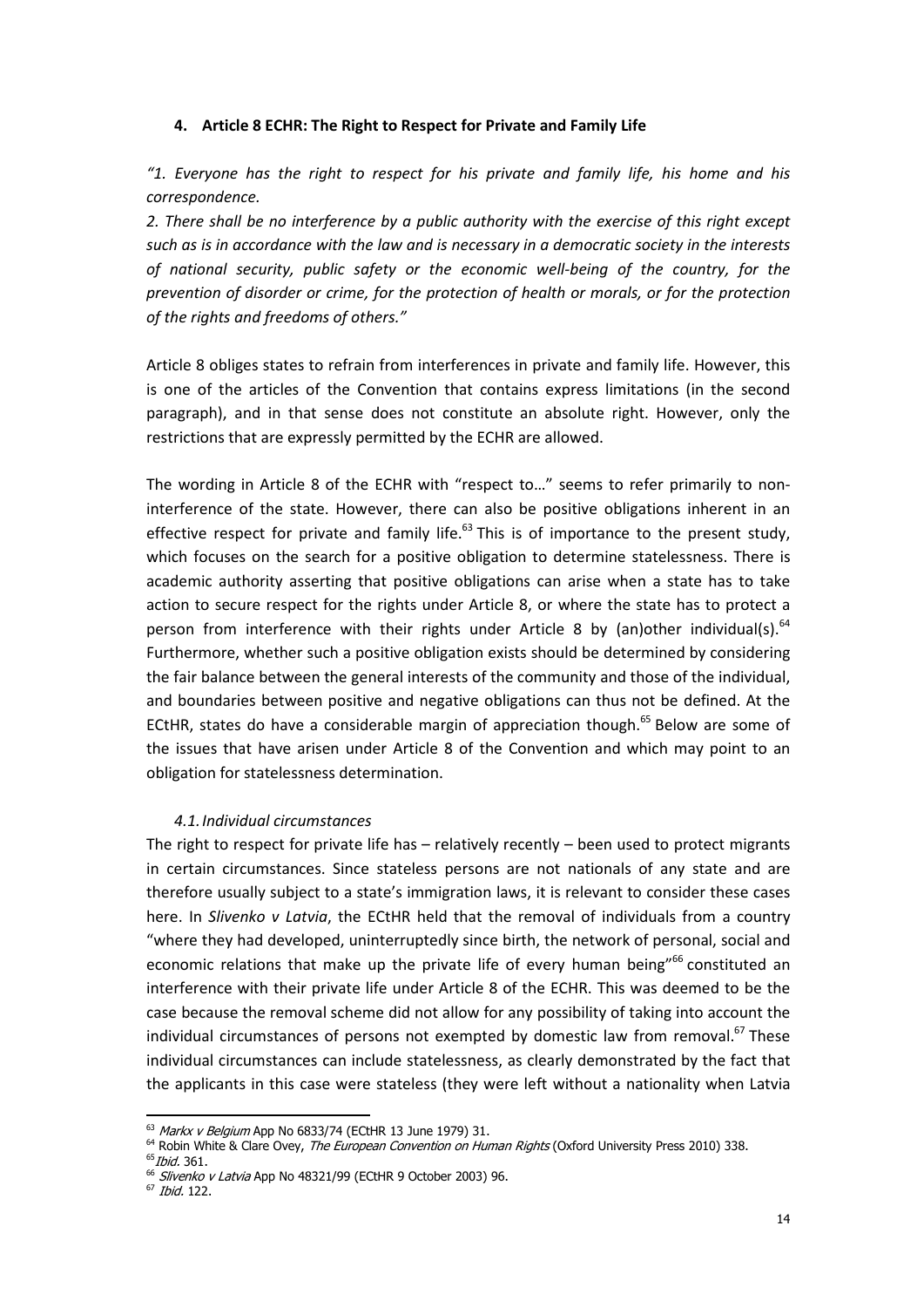#### 4. Article 8 ECHR: The Right to Respect for Private and Family Life

"1. Everyone has the right to respect for his private and family life, his home and his correspondence.

2. There shall be no interference by a public authority with the exercise of this right except such as is in accordance with the law and is necessary in a democratic society in the interests of national security, public safety or the economic well-being of the country, for the prevention of disorder or crime, for the protection of health or morals, or for the protection of the rights and freedoms of others."

Article 8 obliges states to refrain from interferences in private and family life. However, this is one of the articles of the Convention that contains express limitations (in the second paragraph), and in that sense does not constitute an absolute right. However, only the restrictions that are expressly permitted by the ECHR are allowed.

The wording in Article 8 of the ECHR with "respect to…" seems to refer primarily to noninterference of the state. However, there can also be positive obligations inherent in an effective respect for private and family life. $^{63}$  This is of importance to the present study, which focuses on the search for a positive obligation to determine statelessness. There is academic authority asserting that positive obligations can arise when a state has to take action to secure respect for the rights under Article 8, or where the state has to protect a person from interference with their rights under Article 8 by (an)other individual(s). $64$ Furthermore, whether such a positive obligation exists should be determined by considering the fair balance between the general interests of the community and those of the individual, and boundaries between positive and negative obligations can thus not be defined. At the ECtHR, states do have a considerable margin of appreciation though.<sup>65</sup> Below are some of the issues that have arisen under Article 8 of the Convention and which may point to an obligation for statelessness determination.

#### 4.1.Individual circumstances

The right to respect for private life has – relatively recently – been used to protect migrants in certain circumstances. Since stateless persons are not nationals of any state and are therefore usually subject to a state's immigration laws, it is relevant to consider these cases here. In *Slivenko v Latvia*, the ECtHR held that the removal of individuals from a country "where they had developed, uninterruptedly since birth, the network of personal, social and economic relations that make up the private life of every human being"<sup>66</sup> constituted an interference with their private life under Article 8 of the ECHR. This was deemed to be the case because the removal scheme did not allow for any possibility of taking into account the individual circumstances of persons not exempted by domestic law from removal. $^{67}$  These individual circumstances can include statelessness, as clearly demonstrated by the fact that the applicants in this case were stateless (they were left without a nationality when Latvia

<sup>&</sup>lt;sup>63</sup> *Markx v Belgium* App No 6833/74 (ECtHR 13 June 1979) 31.

<sup>&</sup>lt;sup>64</sup> Robin White & Clare Ovey, The European Convention on Human Rights (Oxford University Press 2010) 338. <sup>65</sup>*Ibid.* 361.

 $66$  Slivenko v Latvia App No 48321/99 (ECtHR 9 October 2003) 96.

 $67$  Ibid. 122.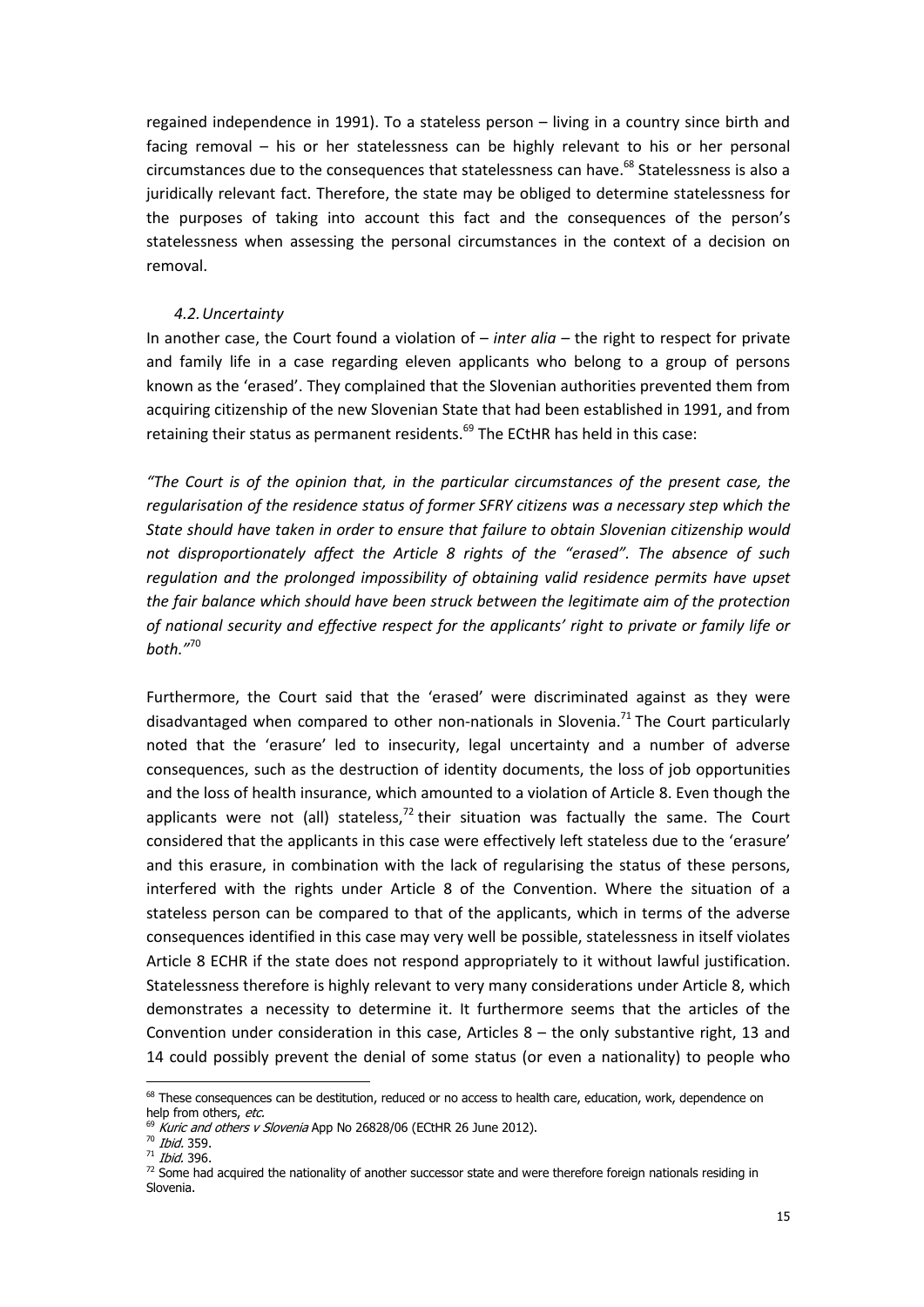regained independence in 1991). To a stateless person – living in a country since birth and facing removal – his or her statelessness can be highly relevant to his or her personal circumstances due to the consequences that statelessness can have.68 Statelessness is also a juridically relevant fact. Therefore, the state may be obliged to determine statelessness for the purposes of taking into account this fact and the consequences of the person's statelessness when assessing the personal circumstances in the context of a decision on removal.

#### 4.2.Uncertainty

In another case, the Court found a violation of  $-$  *inter alia*  $-$  the right to respect for private and family life in a case regarding eleven applicants who belong to a group of persons known as the 'erased'. They complained that the Slovenian authorities prevented them from acquiring citizenship of the new Slovenian State that had been established in 1991, and from retaining their status as permanent residents. $69$  The ECtHR has held in this case:

"The Court is of the opinion that, in the particular circumstances of the present case, the regularisation of the residence status of former SFRY citizens was a necessary step which the State should have taken in order to ensure that failure to obtain Slovenian citizenship would not disproportionately affect the Article 8 rights of the "erased". The absence of such regulation and the prolonged impossibility of obtaining valid residence permits have upset the fair balance which should have been struck between the legitimate aim of the protection of national security and effective respect for the applicants' right to private or family life or both."<sup>70</sup>

Furthermore, the Court said that the 'erased' were discriminated against as they were disadvantaged when compared to other non-nationals in Slovenia.<sup>71</sup> The Court particularly noted that the 'erasure' led to insecurity, legal uncertainty and a number of adverse consequences, such as the destruction of identity documents, the loss of job opportunities and the loss of health insurance, which amounted to a violation of Article 8. Even though the applicants were not (all) stateless, $<sup>72</sup>$  their situation was factually the same. The Court</sup> considered that the applicants in this case were effectively left stateless due to the 'erasure' and this erasure, in combination with the lack of regularising the status of these persons, interfered with the rights under Article 8 of the Convention. Where the situation of a stateless person can be compared to that of the applicants, which in terms of the adverse consequences identified in this case may very well be possible, statelessness in itself violates Article 8 ECHR if the state does not respond appropriately to it without lawful justification. Statelessness therefore is highly relevant to very many considerations under Article 8, which demonstrates a necessity to determine it. It furthermore seems that the articles of the Convention under consideration in this case, Articles  $8 -$  the only substantive right, 13 and 14 could possibly prevent the denial of some status (or even a nationality) to people who

 68 These consequences can be destitution, reduced or no access to health care, education, work, dependence on help from others, etc.

 $\overline{\theta}$  Kuric and others v Slovenia App No 26828/06 (ECtHR 26 June 2012).

<sup>70</sup> Ibid. 359.

 $71$  Ibid. 396.

 $72$  Some had acquired the nationality of another successor state and were therefore foreign nationals residing in Slovenia.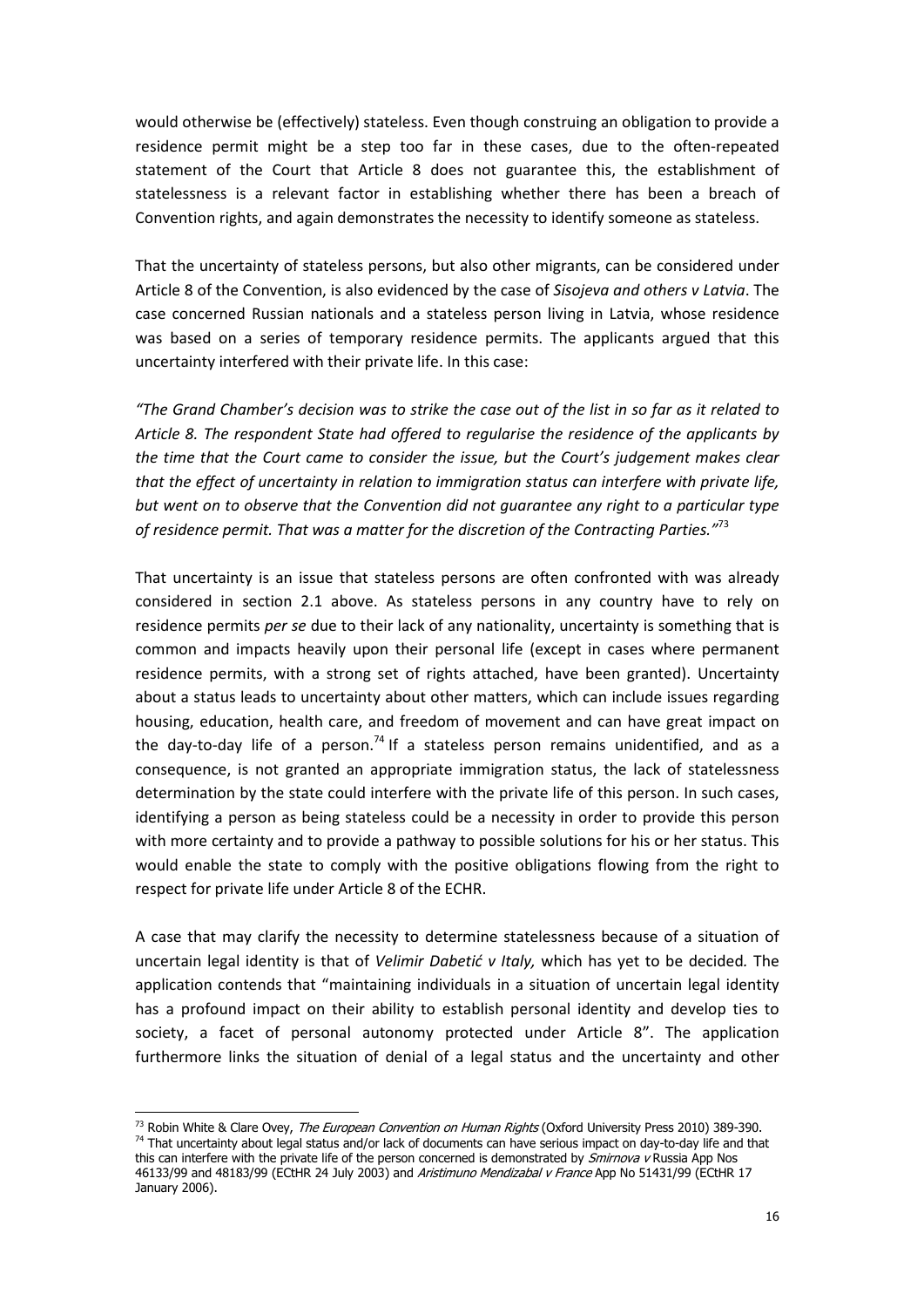would otherwise be (effectively) stateless. Even though construing an obligation to provide a residence permit might be a step too far in these cases, due to the often-repeated statement of the Court that Article 8 does not guarantee this, the establishment of statelessness is a relevant factor in establishing whether there has been a breach of Convention rights, and again demonstrates the necessity to identify someone as stateless.

That the uncertainty of stateless persons, but also other migrants, can be considered under Article 8 of the Convention, is also evidenced by the case of Sisojeva and others v Latvia. The case concerned Russian nationals and a stateless person living in Latvia, whose residence was based on a series of temporary residence permits. The applicants argued that this uncertainty interfered with their private life. In this case:

"The Grand Chamber's decision was to strike the case out of the list in so far as it related to Article 8. The respondent State had offered to regularise the residence of the applicants by the time that the Court came to consider the issue, but the Court's judgement makes clear that the effect of uncertainty in relation to immigration status can interfere with private life, but went on to observe that the Convention did not guarantee any right to a particular type of residence permit. That was a matter for the discretion of the Contracting Parties."<sup>73</sup>

That uncertainty is an issue that stateless persons are often confronted with was already considered in section 2.1 above. As stateless persons in any country have to rely on residence permits per se due to their lack of any nationality, uncertainty is something that is common and impacts heavily upon their personal life (except in cases where permanent residence permits, with a strong set of rights attached, have been granted). Uncertainty about a status leads to uncertainty about other matters, which can include issues regarding housing, education, health care, and freedom of movement and can have great impact on the day-to-day life of a person.<sup>74</sup> If a stateless person remains unidentified, and as a consequence, is not granted an appropriate immigration status, the lack of statelessness determination by the state could interfere with the private life of this person. In such cases, identifying a person as being stateless could be a necessity in order to provide this person with more certainty and to provide a pathway to possible solutions for his or her status. This would enable the state to comply with the positive obligations flowing from the right to respect for private life under Article 8 of the ECHR.

A case that may clarify the necessity to determine statelessness because of a situation of uncertain legal identity is that of *Velimir Dabetić v Italy*, which has yet to be decided. The application contends that "maintaining individuals in a situation of uncertain legal identity has a profound impact on their ability to establish personal identity and develop ties to society, a facet of personal autonomy protected under Article 8". The application furthermore links the situation of denial of a legal status and the uncertainty and other

<sup>73&</sup>lt;br><sup>73</sup> Robin White & Clare Ovey, *The European Convention on Human Rights* (Oxford University Press 2010) 389-390. 74 That uncertainty about legal status and/or lack of documents can have serious impact on day-to-day life and that this can interfere with the private life of the person concerned is demonstrated by *Smirnova v* Russia App Nos 46133/99 and 48183/99 (ECtHR 24 July 2003) and Aristimuno Mendizabal v France App No 51431/99 (ECtHR 17 January 2006).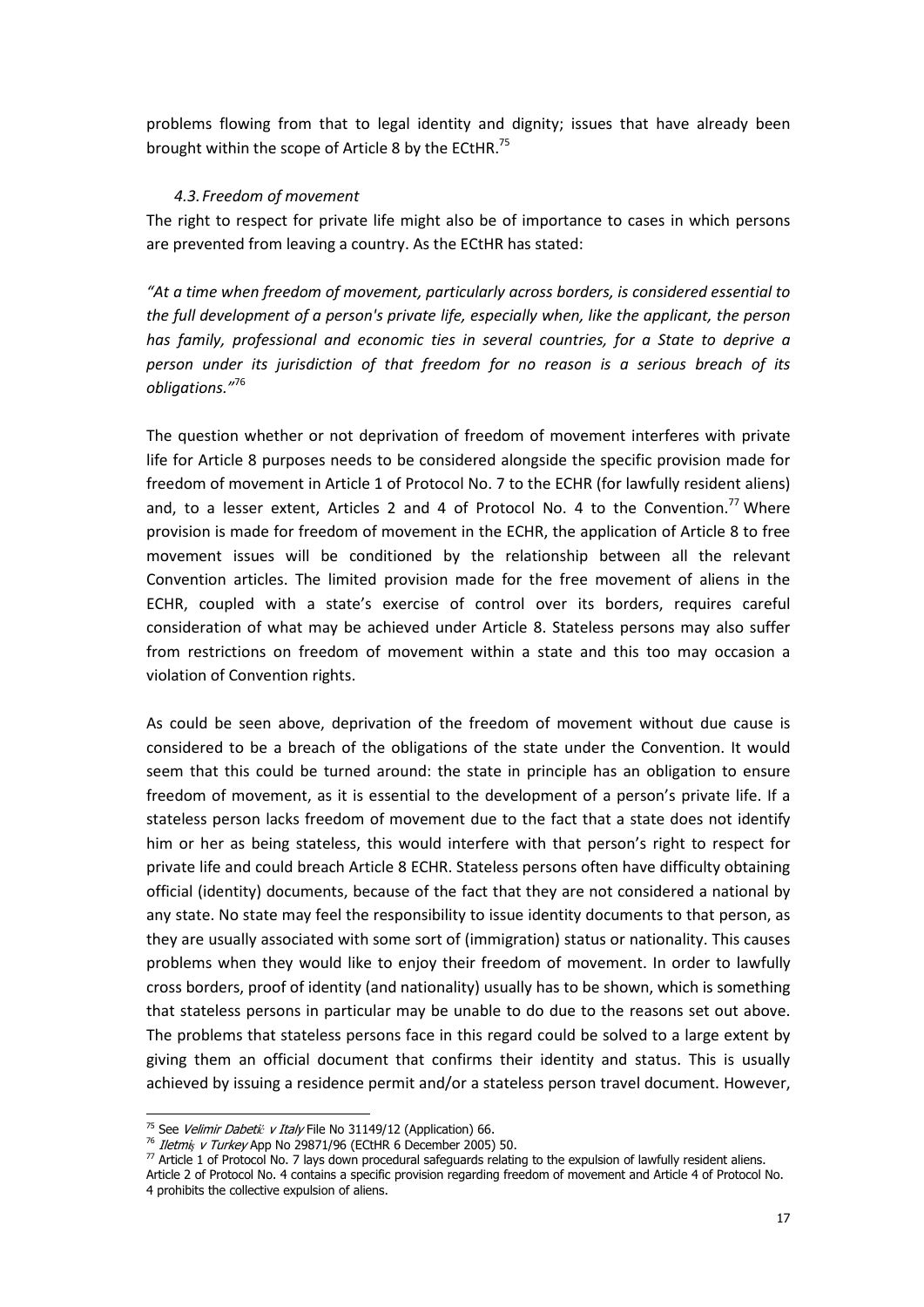problems flowing from that to legal identity and dignity; issues that have already been brought within the scope of Article 8 by the ECtHR.<sup>75</sup>

#### 4.3.Freedom of movement

The right to respect for private life might also be of importance to cases in which persons are prevented from leaving a country. As the ECtHR has stated:

"At a time when freedom of movement, particularly across borders, is considered essential to the full development of a person's private life, especially when, like the applicant, the person has family, professional and economic ties in several countries, for a State to deprive a person under its jurisdiction of that freedom for no reason is a serious breach of its obligations."<sup>76</sup>

The question whether or not deprivation of freedom of movement interferes with private life for Article 8 purposes needs to be considered alongside the specific provision made for freedom of movement in Article 1 of Protocol No. 7 to the ECHR (for lawfully resident aliens) and, to a lesser extent, Articles 2 and 4 of Protocol No. 4 to the Convention.<sup>77</sup> Where provision is made for freedom of movement in the ECHR, the application of Article 8 to free movement issues will be conditioned by the relationship between all the relevant Convention articles. The limited provision made for the free movement of aliens in the ECHR, coupled with a state's exercise of control over its borders, requires careful consideration of what may be achieved under Article 8. Stateless persons may also suffer from restrictions on freedom of movement within a state and this too may occasion a violation of Convention rights.

As could be seen above, deprivation of the freedom of movement without due cause is considered to be a breach of the obligations of the state under the Convention. It would seem that this could be turned around: the state in principle has an obligation to ensure freedom of movement, as it is essential to the development of a person's private life. If a stateless person lacks freedom of movement due to the fact that a state does not identify him or her as being stateless, this would interfere with that person's right to respect for private life and could breach Article 8 ECHR. Stateless persons often have difficulty obtaining official (identity) documents, because of the fact that they are not considered a national by any state. No state may feel the responsibility to issue identity documents to that person, as they are usually associated with some sort of (immigration) status or nationality. This causes problems when they would like to enjoy their freedom of movement. In order to lawfully cross borders, proof of identity (and nationality) usually has to be shown, which is something that stateless persons in particular may be unable to do due to the reasons set out above. The problems that stateless persons face in this regard could be solved to a large extent by giving them an official document that confirms their identity and status. This is usually achieved by issuing a residence permit and/or a stateless person travel document. However,

<sup>&</sup>lt;sup>75</sup> See *Velimir Dabetić v Italy* File No 31149/12 (Application) 66.

<sup>&</sup>lt;sup>76</sup> Iletmiş v Turkey App No 29871/96 (ECtHR 6 December 2005) 50.

 $77$  Article 1 of Protocol No. 7 lays down procedural safeguards relating to the expulsion of lawfully resident aliens.

Article 2 of Protocol No. 4 contains a specific provision regarding freedom of movement and Article 4 of Protocol No. 4 prohibits the collective expulsion of aliens.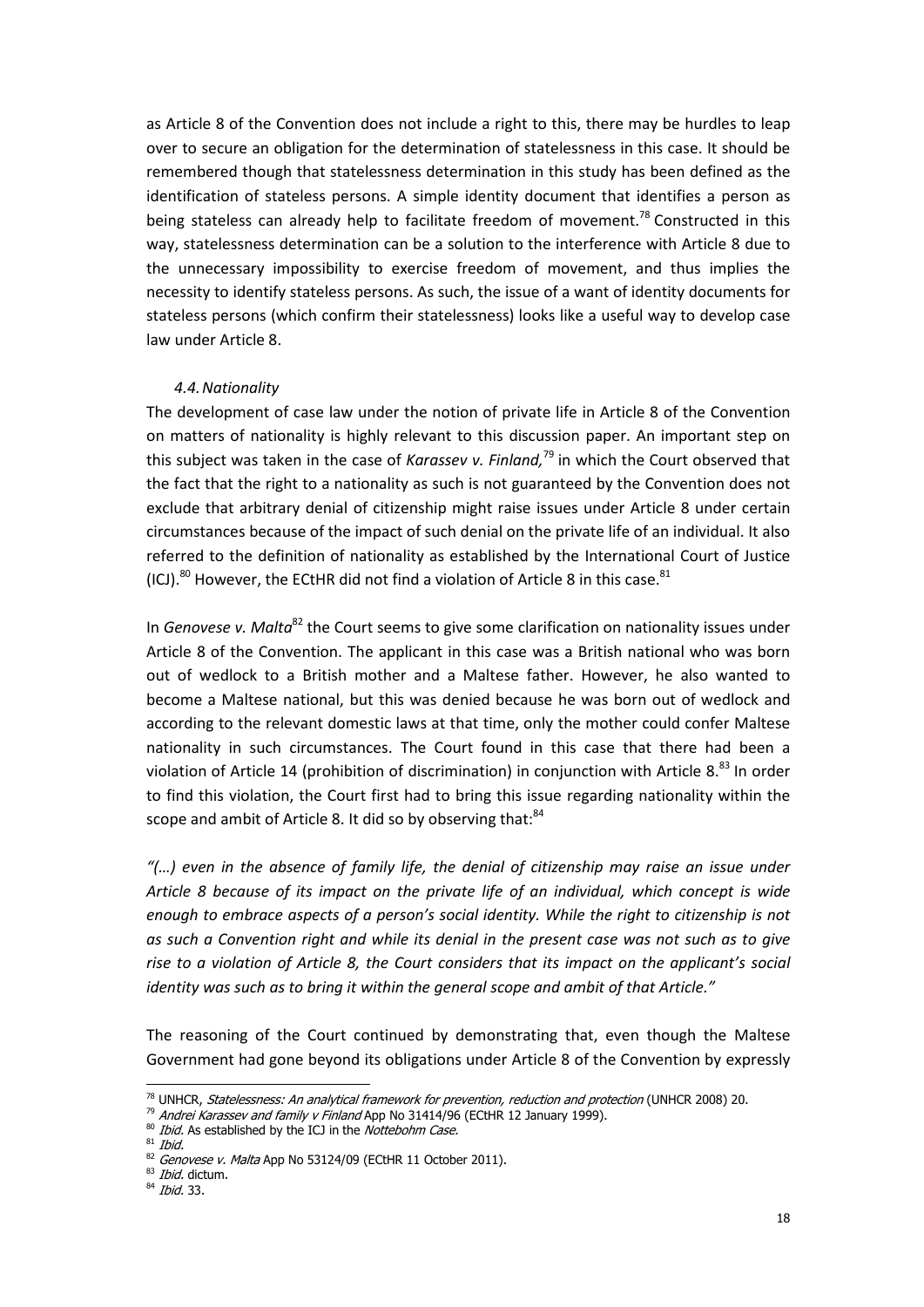as Article 8 of the Convention does not include a right to this, there may be hurdles to leap over to secure an obligation for the determination of statelessness in this case. It should be remembered though that statelessness determination in this study has been defined as the identification of stateless persons. A simple identity document that identifies a person as being stateless can already help to facilitate freedom of movement.<sup>78</sup> Constructed in this way, statelessness determination can be a solution to the interference with Article 8 due to the unnecessary impossibility to exercise freedom of movement, and thus implies the necessity to identify stateless persons. As such, the issue of a want of identity documents for stateless persons (which confirm their statelessness) looks like a useful way to develop case law under Article 8.

#### 4.4.Nationality

The development of case law under the notion of private life in Article 8 of the Convention on matters of nationality is highly relevant to this discussion paper. An important step on this subject was taken in the case of Karassev v. Finland,<sup>79</sup> in which the Court observed that the fact that the right to a nationality as such is not guaranteed by the Convention does not exclude that arbitrary denial of citizenship might raise issues under Article 8 under certain circumstances because of the impact of such denial on the private life of an individual. It also referred to the definition of nationality as established by the International Court of Justice (ICJ).<sup>80</sup> However, the ECtHR did not find a violation of Article 8 in this case.<sup>81</sup>

In Genovese v. Malta<sup>82</sup> the Court seems to give some clarification on nationality issues under Article 8 of the Convention. The applicant in this case was a British national who was born out of wedlock to a British mother and a Maltese father. However, he also wanted to become a Maltese national, but this was denied because he was born out of wedlock and according to the relevant domestic laws at that time, only the mother could confer Maltese nationality in such circumstances. The Court found in this case that there had been a violation of Article 14 (prohibition of discrimination) in conjunction with Article 8.<sup>83</sup> In order to find this violation, the Court first had to bring this issue regarding nationality within the scope and ambit of Article 8. It did so by observing that: $84$ 

 $\degree$ (...) even in the absence of family life, the denial of citizenship may raise an issue under Article 8 because of its impact on the private life of an individual, which concept is wide enough to embrace aspects of a person's social identity. While the right to citizenship is not as such a Convention right and while its denial in the present case was not such as to give rise to a violation of Article 8, the Court considers that its impact on the applicant's social identity was such as to bring it within the general scope and ambit of that Article."

The reasoning of the Court continued by demonstrating that, even though the Maltese Government had gone beyond its obligations under Article 8 of the Convention by expressly

<sup>78&</sup>lt;br><sup>78</sup> UNHCR, *Statelessness: An analytical framework for prevention, reduction and protection* (UNHCR 2008) 20.

<sup>&</sup>lt;sup>79</sup> Andrei Karassev and family v Finland App No 31414/96 (ECtHR 12 January 1999).<br><sup>80</sup> *Ibid.* As established by the ICJ in the *Nottebohm Case.* 

 $81$  Ibid.

<sup>82</sup> Genovese v. Malta App No 53124/09 (ECtHR 11 October 2011).

<sup>83</sup> Ibid. dictum.

<sup>&</sup>lt;sup>84</sup> Ibid. 33.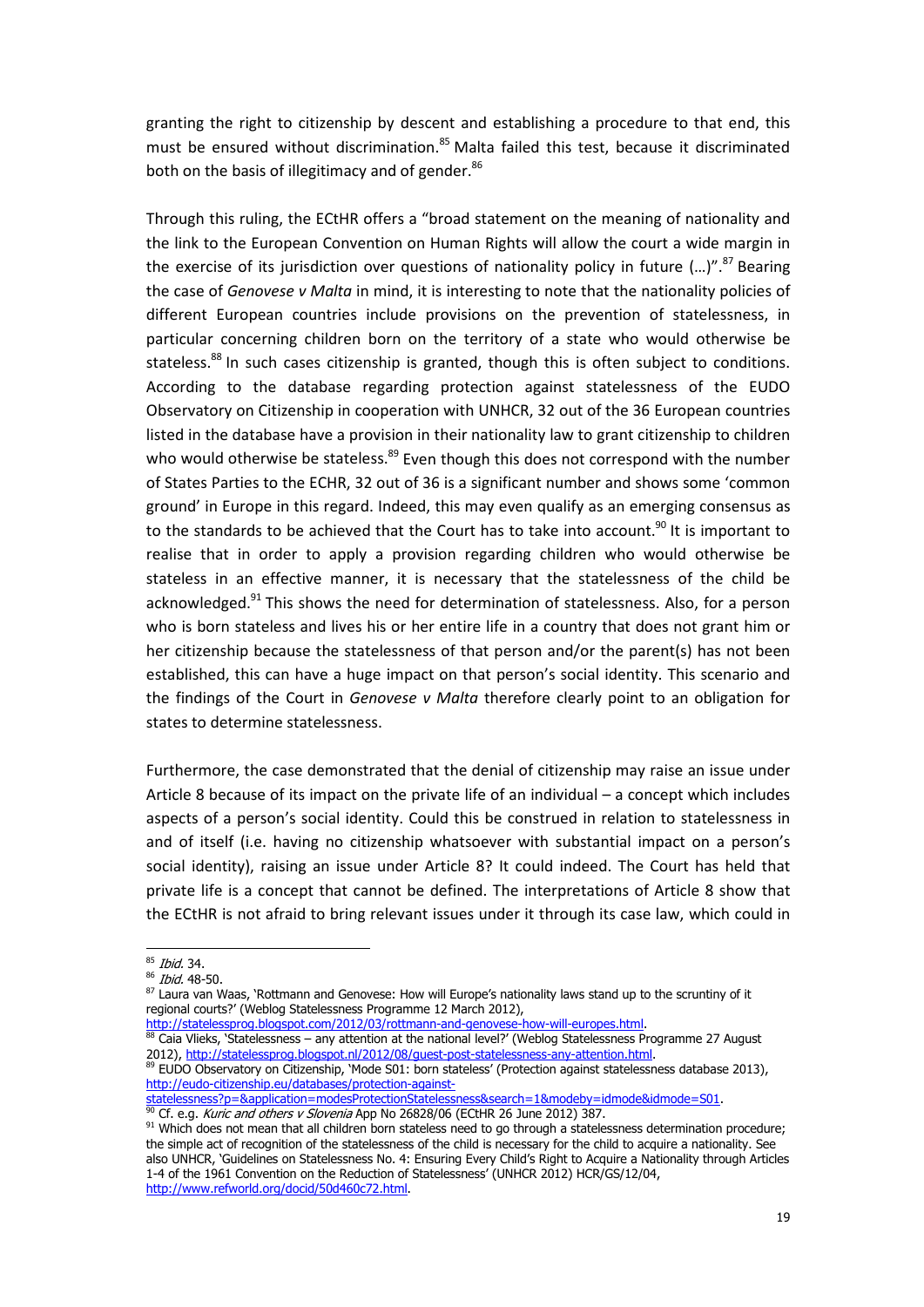granting the right to citizenship by descent and establishing a procedure to that end, this must be ensured without discrimination.<sup>85</sup> Malta failed this test, because it discriminated both on the basis of illegitimacy and of gender.<sup>86</sup>

Through this ruling, the ECtHR offers a "broad statement on the meaning of nationality and the link to the European Convention on Human Rights will allow the court a wide margin in the exercise of its jurisdiction over questions of nationality policy in future  $(...)$ ".<sup>87</sup> Bearing the case of Genovese v Malta in mind, it is interesting to note that the nationality policies of different European countries include provisions on the prevention of statelessness, in particular concerning children born on the territory of a state who would otherwise be stateless.<sup>88</sup> In such cases citizenship is granted, though this is often subject to conditions. According to the database regarding protection against statelessness of the EUDO Observatory on Citizenship in cooperation with UNHCR, 32 out of the 36 European countries listed in the database have a provision in their nationality law to grant citizenship to children who would otherwise be stateless.<sup>89</sup> Even though this does not correspond with the number of States Parties to the ECHR, 32 out of 36 is a significant number and shows some 'common ground' in Europe in this regard. Indeed, this may even qualify as an emerging consensus as to the standards to be achieved that the Court has to take into account.<sup>90</sup> It is important to realise that in order to apply a provision regarding children who would otherwise be stateless in an effective manner, it is necessary that the statelessness of the child be acknowledged.<sup>91</sup> This shows the need for determination of statelessness. Also, for a person who is born stateless and lives his or her entire life in a country that does not grant him or her citizenship because the statelessness of that person and/or the parent(s) has not been established, this can have a huge impact on that person's social identity. This scenario and the findings of the Court in Genovese v Malta therefore clearly point to an obligation for states to determine statelessness.

Furthermore, the case demonstrated that the denial of citizenship may raise an issue under Article 8 because of its impact on the private life of an individual – a concept which includes aspects of a person's social identity. Could this be construed in relation to statelessness in and of itself (i.e. having no citizenship whatsoever with substantial impact on a person's social identity), raising an issue under Article 8? It could indeed. The Court has held that private life is a concept that cannot be defined. The interpretations of Article 8 show that the ECtHR is not afraid to bring relevant issues under it through its case law, which could in

statelessness?p=&application=modesProtectionStatelessness&search=1&modeby=idmode&idmode=S01.

<sup>90</sup> Cf. e.g. *Kuric and others v Slovenia* App No 26828/06 (ECtHR 26 June 2012) 387.

<sup>&</sup>lt;sup>85</sup> Ibid. 34.

<sup>86</sup> Ibid. 48-50.

<sup>87</sup> Laura van Waas, 'Rottmann and Genovese: How will Europe's nationality laws stand up to the scruntiny of it regional courts?' (Weblog Statelessness Programme 12 March 2012),

http://statelessprog.blogspot.com/2012/03/rottmann-and-genovese-how-will-europes.html.

 $88$  Caia Vlieks, 'Statelessness – any attention at the national level?' (Weblog Statelessness Programme 27 August 2012), http://statelessprog.blogspot.nl/2012/08/guest-post-statelessness-any-attention.html.

<sup>89</sup> EUDO Observatory on Citizenship, 'Mode S01: born stateless' (Protection against statelessness database 2013), http://eudo-citizenship.eu/databases/protection-against-<br>statelessness?p=&application=modesProtectionStateless

<sup>91</sup> Which does not mean that all children born stateless need to go through a statelessness determination procedure; the simple act of recognition of the statelessness of the child is necessary for the child to acquire a nationality. See also UNHCR, 'Guidelines on Statelessness No. 4: Ensuring Every Child's Right to Acquire a Nationality through Articles 1-4 of the 1961 Convention on the Reduction of Statelessness' (UNHCR 2012) HCR/GS/12/04, http://www.refworld.org/docid/50d460c72.html.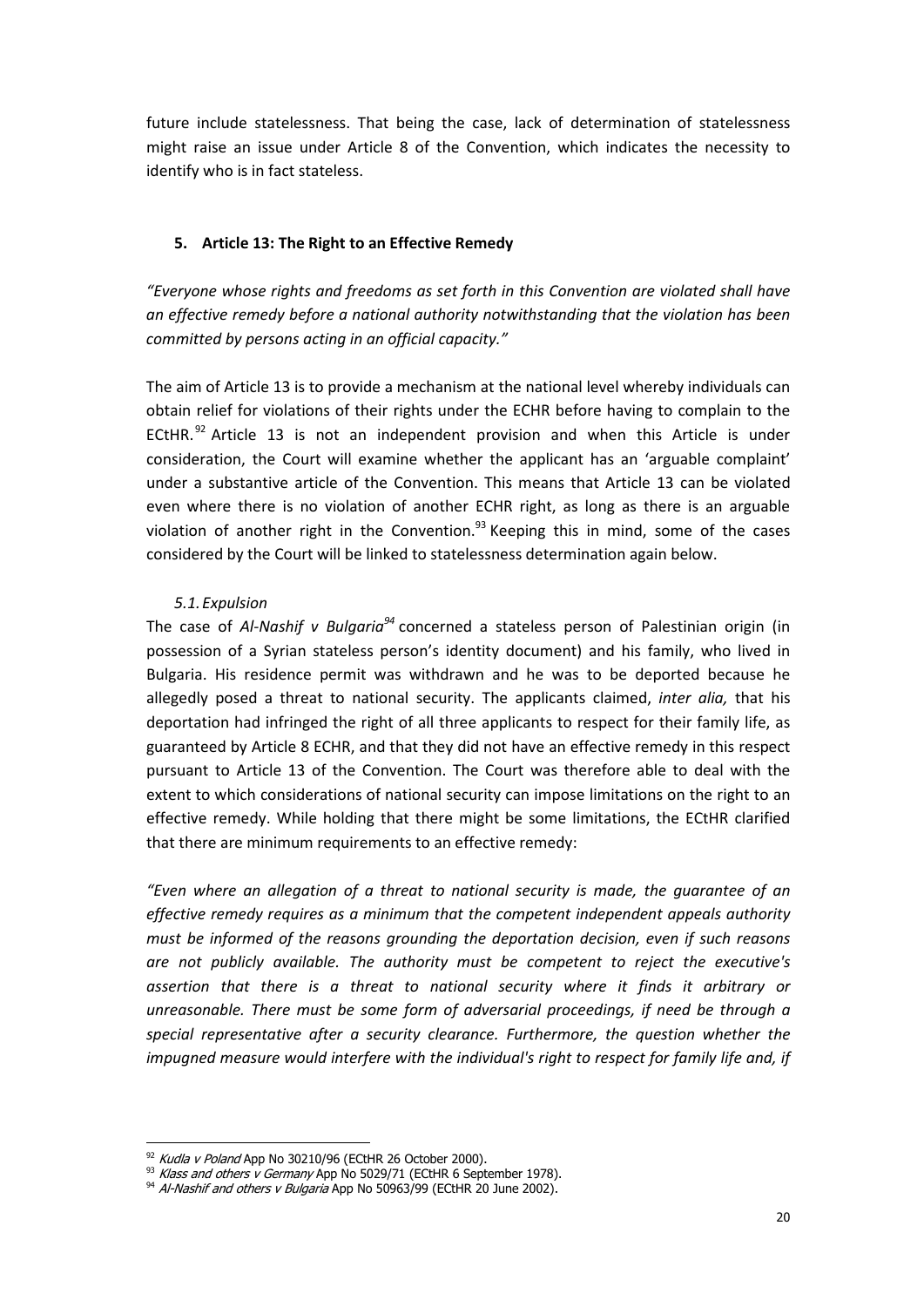future include statelessness. That being the case, lack of determination of statelessness might raise an issue under Article 8 of the Convention, which indicates the necessity to identify who is in fact stateless.

#### 5. Article 13: The Right to an Effective Remedy

"Everyone whose rights and freedoms as set forth in this Convention are violated shall have an effective remedy before a national authority notwithstanding that the violation has been committed by persons acting in an official capacity."

The aim of Article 13 is to provide a mechanism at the national level whereby individuals can obtain relief for violations of their rights under the ECHR before having to complain to the ECtHR.<sup>92</sup> Article 13 is not an independent provision and when this Article is under consideration, the Court will examine whether the applicant has an 'arguable complaint' under a substantive article of the Convention. This means that Article 13 can be violated even where there is no violation of another ECHR right, as long as there is an arguable violation of another right in the Convention. $^{93}$  Keeping this in mind, some of the cases considered by the Court will be linked to statelessness determination again below.

#### 5.1.Expulsion

The case of Al-Nashif v Bulgaria<sup>94</sup> concerned a stateless person of Palestinian origin (in possession of a Syrian stateless person's identity document) and his family, who lived in Bulgaria. His residence permit was withdrawn and he was to be deported because he allegedly posed a threat to national security. The applicants claimed, inter alia, that his deportation had infringed the right of all three applicants to respect for their family life, as guaranteed by Article 8 ECHR, and that they did not have an effective remedy in this respect pursuant to Article 13 of the Convention. The Court was therefore able to deal with the extent to which considerations of national security can impose limitations on the right to an effective remedy. While holding that there might be some limitations, the ECtHR clarified that there are minimum requirements to an effective remedy:

"Even where an allegation of a threat to national security is made, the guarantee of an effective remedy requires as a minimum that the competent independent appeals authority must be informed of the reasons grounding the deportation decision, even if such reasons are not publicly available. The authority must be competent to reject the executive's assertion that there is a threat to national security where it finds it arbitrary or unreasonable. There must be some form of adversarial proceedings, if need be through a special representative after a security clearance. Furthermore, the question whether the impugned measure would interfere with the individual's right to respect for family life and, if

 $\frac{92}{3}$  *Kudla v Poland* App No 30210/96 (ECtHR 26 October 2000).

<sup>&</sup>lt;sup>93</sup> Klass and others v Germany App No 5029/71 (ECtHR 6 September 1978).

<sup>94</sup> Al-Nashif and others v Bulgaria App No 50963/99 (ECtHR 20 June 2002).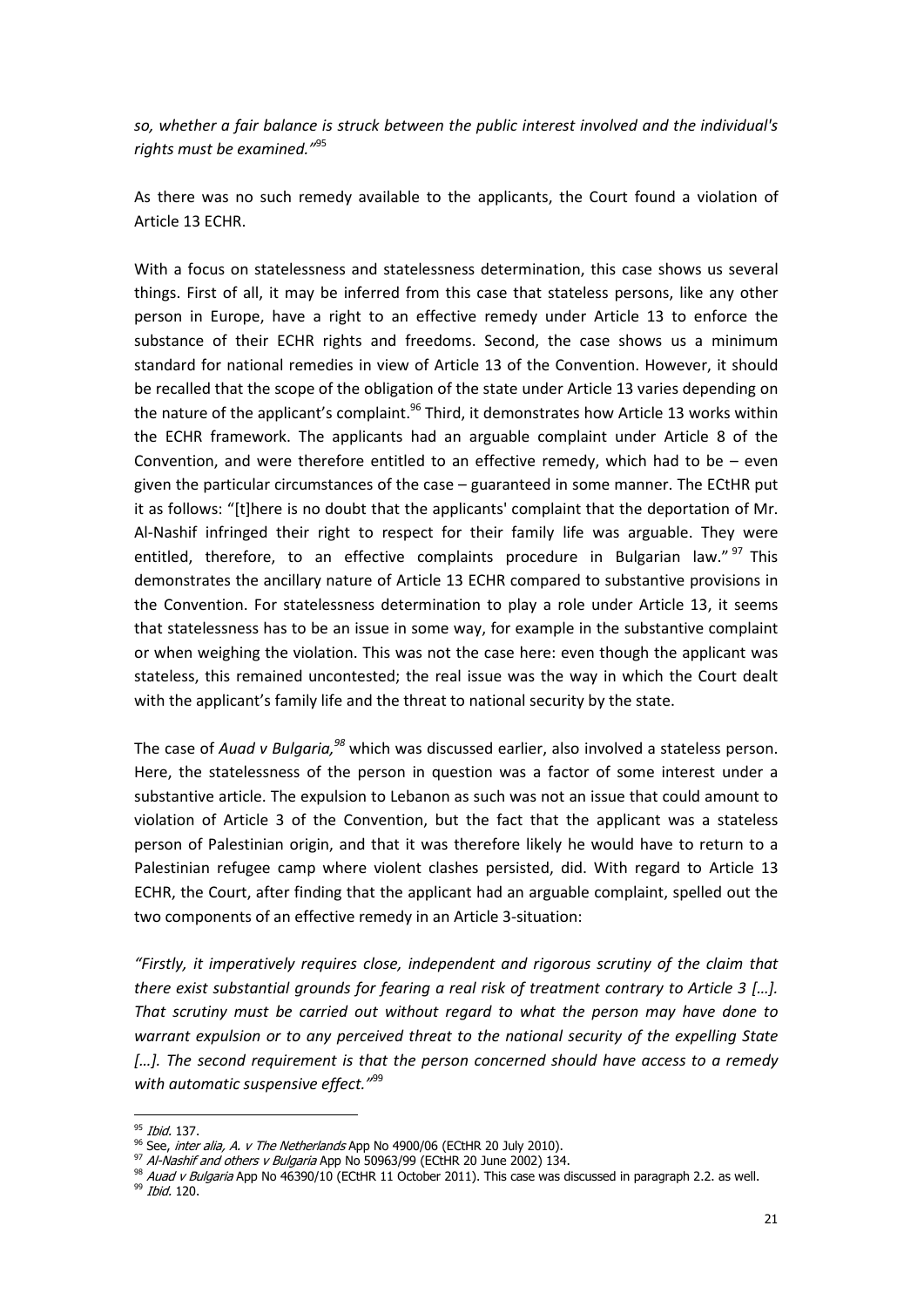so, whether a fair balance is struck between the public interest involved and the individual's rights must be examined."<sup>95</sup>

As there was no such remedy available to the applicants, the Court found a violation of Article 13 ECHR.

With a focus on statelessness and statelessness determination, this case shows us several things. First of all, it may be inferred from this case that stateless persons, like any other person in Europe, have a right to an effective remedy under Article 13 to enforce the substance of their ECHR rights and freedoms. Second, the case shows us a minimum standard for national remedies in view of Article 13 of the Convention. However, it should be recalled that the scope of the obligation of the state under Article 13 varies depending on the nature of the applicant's complaint.<sup>96</sup> Third, it demonstrates how Article 13 works within the ECHR framework. The applicants had an arguable complaint under Article 8 of the Convention, and were therefore entitled to an effective remedy, which had to be  $-$  even given the particular circumstances of the case – guaranteed in some manner. The ECtHR put it as follows: "[t]here is no doubt that the applicants' complaint that the deportation of Mr. Al-Nashif infringed their right to respect for their family life was arguable. They were entitled, therefore, to an effective complaints procedure in Bulgarian law."<sup>97</sup> This demonstrates the ancillary nature of Article 13 ECHR compared to substantive provisions in the Convention. For statelessness determination to play a role under Article 13, it seems that statelessness has to be an issue in some way, for example in the substantive complaint or when weighing the violation. This was not the case here: even though the applicant was stateless, this remained uncontested; the real issue was the way in which the Court dealt with the applicant's family life and the threat to national security by the state.

The case of Auad v Bulgaria,<sup>98</sup> which was discussed earlier, also involved a stateless person. Here, the statelessness of the person in question was a factor of some interest under a substantive article. The expulsion to Lebanon as such was not an issue that could amount to violation of Article 3 of the Convention, but the fact that the applicant was a stateless person of Palestinian origin, and that it was therefore likely he would have to return to a Palestinian refugee camp where violent clashes persisted, did. With regard to Article 13 ECHR, the Court, after finding that the applicant had an arguable complaint, spelled out the two components of an effective remedy in an Article 3-situation:

"Firstly, it imperatively requires close, independent and rigorous scrutiny of the claim that there exist substantial grounds for fearing a real risk of treatment contrary to Article 3 […]. That scrutiny must be carried out without regard to what the person may have done to warrant expulsion or to any perceived threat to the national security of the expelling State [...]. The second requirement is that the person concerned should have access to a remedy with automatic suspensive effect."<sup>99</sup>

<sup>&</sup>lt;sup>95</sup> Ibid. 137.

<sup>&</sup>lt;sup>96</sup> See, *inter alia, A. v The Netherlands* App No 4900/06 (ECtHR 20 July 2010).

 $97$  Al-Nashif and others v Bulgaria App No 50963/99 (ECtHR 20 June 2002) 134.

<sup>&</sup>lt;sup>98</sup> Auad v Bulgaria App No 46390/10 (ECtHR 11 October 2011). This case was discussed in paragraph 2.2. as well.<br><sup>99</sup> Ibid. 120.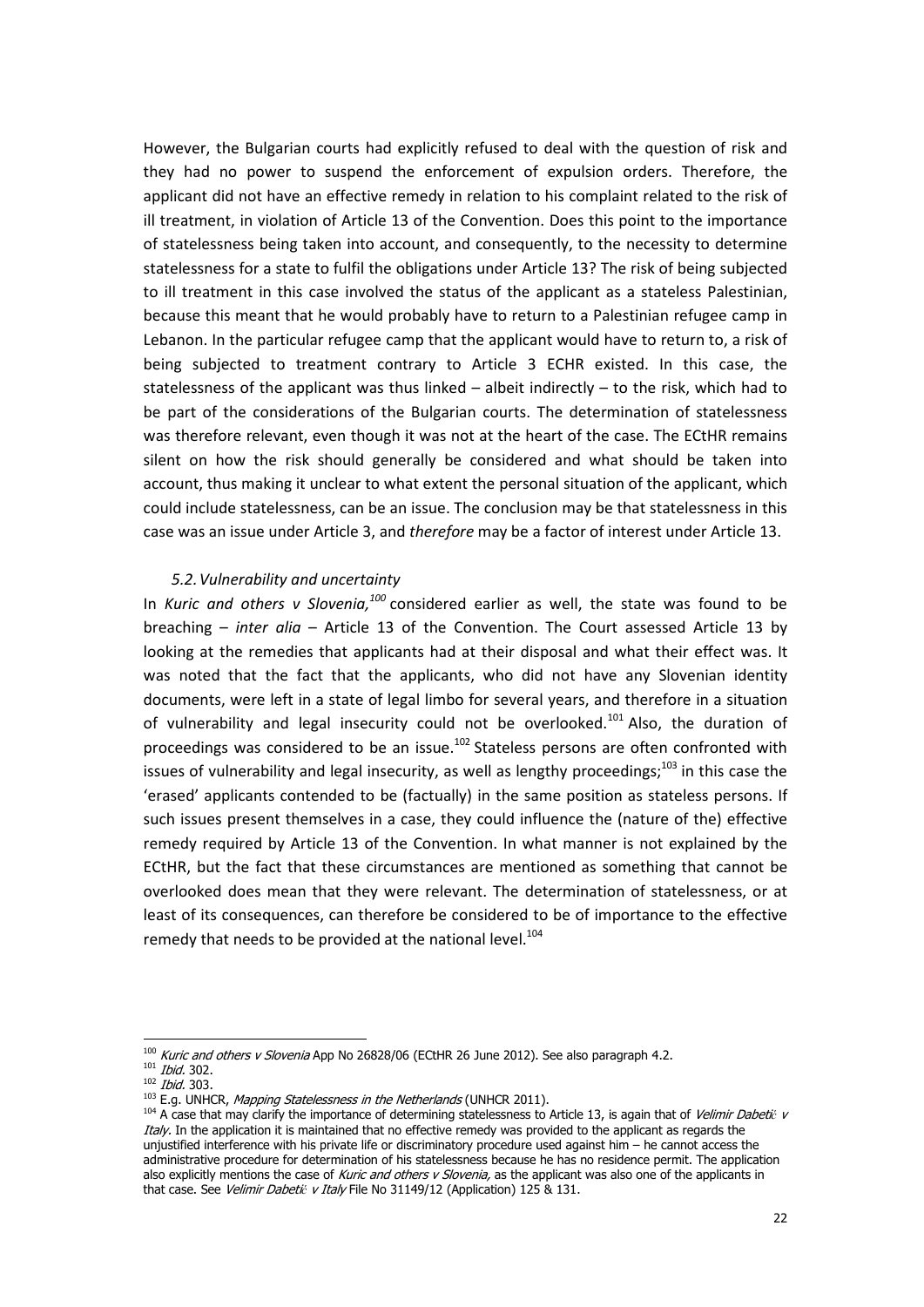However, the Bulgarian courts had explicitly refused to deal with the question of risk and they had no power to suspend the enforcement of expulsion orders. Therefore, the applicant did not have an effective remedy in relation to his complaint related to the risk of ill treatment, in violation of Article 13 of the Convention. Does this point to the importance of statelessness being taken into account, and consequently, to the necessity to determine statelessness for a state to fulfil the obligations under Article 13? The risk of being subjected to ill treatment in this case involved the status of the applicant as a stateless Palestinian, because this meant that he would probably have to return to a Palestinian refugee camp in Lebanon. In the particular refugee camp that the applicant would have to return to, a risk of being subjected to treatment contrary to Article 3 ECHR existed. In this case, the statelessness of the applicant was thus linked  $-$  albeit indirectly  $-$  to the risk, which had to be part of the considerations of the Bulgarian courts. The determination of statelessness was therefore relevant, even though it was not at the heart of the case. The ECtHR remains silent on how the risk should generally be considered and what should be taken into account, thus making it unclear to what extent the personal situation of the applicant, which could include statelessness, can be an issue. The conclusion may be that statelessness in this case was an issue under Article 3, and therefore may be a factor of interest under Article 13.

#### 5.2.Vulnerability and uncertainty

In Kuric and others v Slovenia, $100$  considered earlier as well, the state was found to be breaching – inter alia – Article 13 of the Convention. The Court assessed Article 13 by looking at the remedies that applicants had at their disposal and what their effect was. It was noted that the fact that the applicants, who did not have any Slovenian identity documents, were left in a state of legal limbo for several years, and therefore in a situation of vulnerability and legal insecurity could not be overlooked.<sup>101</sup> Also, the duration of proceedings was considered to be an issue.<sup>102</sup> Stateless persons are often confronted with issues of vulnerability and legal insecurity, as well as lengthy proceedings;<sup>103</sup> in this case the 'erased' applicants contended to be (factually) in the same position as stateless persons. If such issues present themselves in a case, they could influence the (nature of the) effective remedy required by Article 13 of the Convention. In what manner is not explained by the ECtHR, but the fact that these circumstances are mentioned as something that cannot be overlooked does mean that they were relevant. The determination of statelessness, or at least of its consequences, can therefore be considered to be of importance to the effective remedy that needs to be provided at the national level.<sup>104</sup>

 <sup>100</sup> Kuric and others v Slovenia App No 26828/06 (ECtHR 26 June 2012). See also paragraph 4.2.

<sup>101</sup> Ibid. 302.

 $102$  Ibid. 303.<br> $103$  E.g. UNHCR, *Mapping Statelessness in the Netherlands* (UNHCR 2011).

<sup>&</sup>lt;sup>104</sup> A case that may clarify the importance of determining statelessness to Article 13, is again that of Velimir Dabetić v Italy. In the application it is maintained that no effective remedy was provided to the applicant as regards the unjustified interference with his private life or discriminatory procedure used against him – he cannot access the administrative procedure for determination of his statelessness because he has no residence permit. The application also explicitly mentions the case of Kuric and others v Slovenia, as the applicant was also one of the applicants in that case. See Velimir Dabetić v Italy File No 31149/12 (Application) 125 & 131.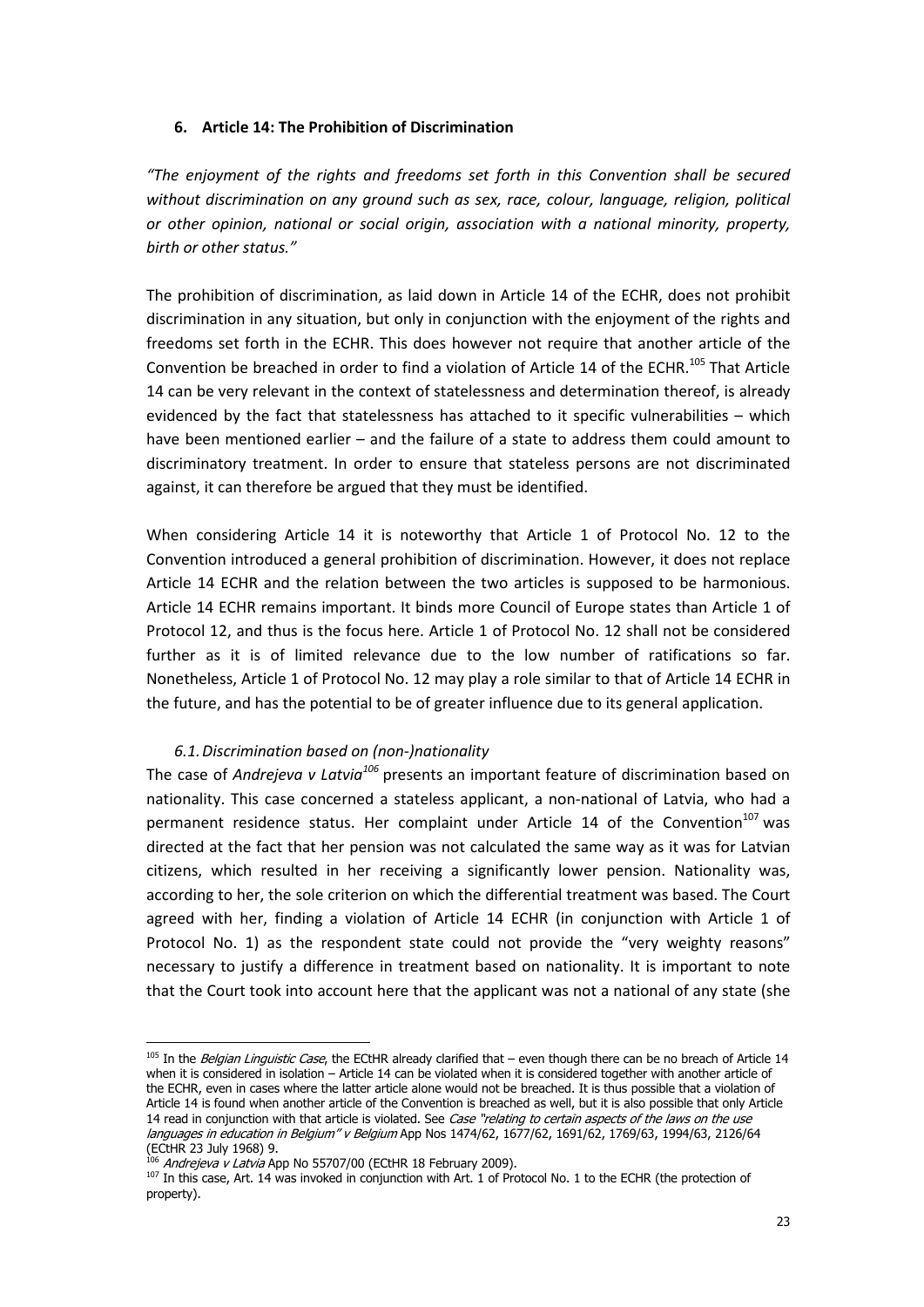# 6. Article 14: The Prohibition of Discrimination

"The enjoyment of the rights and freedoms set forth in this Convention shall be secured without discrimination on any around such as sex, race, colour, language, religion, political or other opinion, national or social origin, association with a national minority, property, birth or other status."

The prohibition of discrimination, as laid down in Article 14 of the ECHR, does not prohibit discrimination in any situation, but only in conjunction with the enjoyment of the rights and freedoms set forth in the ECHR. This does however not require that another article of the Convention be breached in order to find a violation of Article 14 of the ECHR.<sup>105</sup> That Article 14 can be very relevant in the context of statelessness and determination thereof, is already evidenced by the fact that statelessness has attached to it specific vulnerabilities – which have been mentioned earlier – and the failure of a state to address them could amount to discriminatory treatment. In order to ensure that stateless persons are not discriminated against, it can therefore be argued that they must be identified.

When considering Article 14 it is noteworthy that Article 1 of Protocol No. 12 to the Convention introduced a general prohibition of discrimination. However, it does not replace Article 14 ECHR and the relation between the two articles is supposed to be harmonious. Article 14 ECHR remains important. It binds more Council of Europe states than Article 1 of Protocol 12, and thus is the focus here. Article 1 of Protocol No. 12 shall not be considered further as it is of limited relevance due to the low number of ratifications so far. Nonetheless, Article 1 of Protocol No. 12 may play a role similar to that of Article 14 ECHR in the future, and has the potential to be of greater influence due to its general application.

# 6.1.Discrimination based on (non-)nationality

The case of Andrejeva v Latvia<sup>106</sup> presents an important feature of discrimination based on nationality. This case concerned a stateless applicant, a non-national of Latvia, who had a permanent residence status. Her complaint under Article 14 of the Convention $107$  was directed at the fact that her pension was not calculated the same way as it was for Latvian citizens, which resulted in her receiving a significantly lower pension. Nationality was, according to her, the sole criterion on which the differential treatment was based. The Court agreed with her, finding a violation of Article 14 ECHR (in conjunction with Article 1 of Protocol No. 1) as the respondent state could not provide the "very weighty reasons" necessary to justify a difference in treatment based on nationality. It is important to note that the Court took into account here that the applicant was not a national of any state (she

<sup>105</sup> In the *Belgian Linguistic Case*, the ECtHR already clarified that – even though there can be no breach of Article 14 when it is considered in isolation – Article 14 can be violated when it is considered together with another article of the ECHR, even in cases where the latter article alone would not be breached. It is thus possible that a violation of Article 14 is found when another article of the Convention is breached as well, but it is also possible that only Article 14 read in conjunction with that article is violated. See Case "relating to certain aspects of the laws on the use languages in education in Belgium" v Belgium App Nos 1474/62, 1677/62, 1691/62, 1769/63, 1994/63, 2126/64 (ECtHR 23 July 1968) 9.

<sup>&</sup>lt;sup>106</sup> Andrejeva v Latvia App No 55707/00 (ECtHR 18 February 2009).

<sup>&</sup>lt;sup>107</sup> In this case, Art. 14 was invoked in conjunction with Art. 1 of Protocol No. 1 to the ECHR (the protection of property).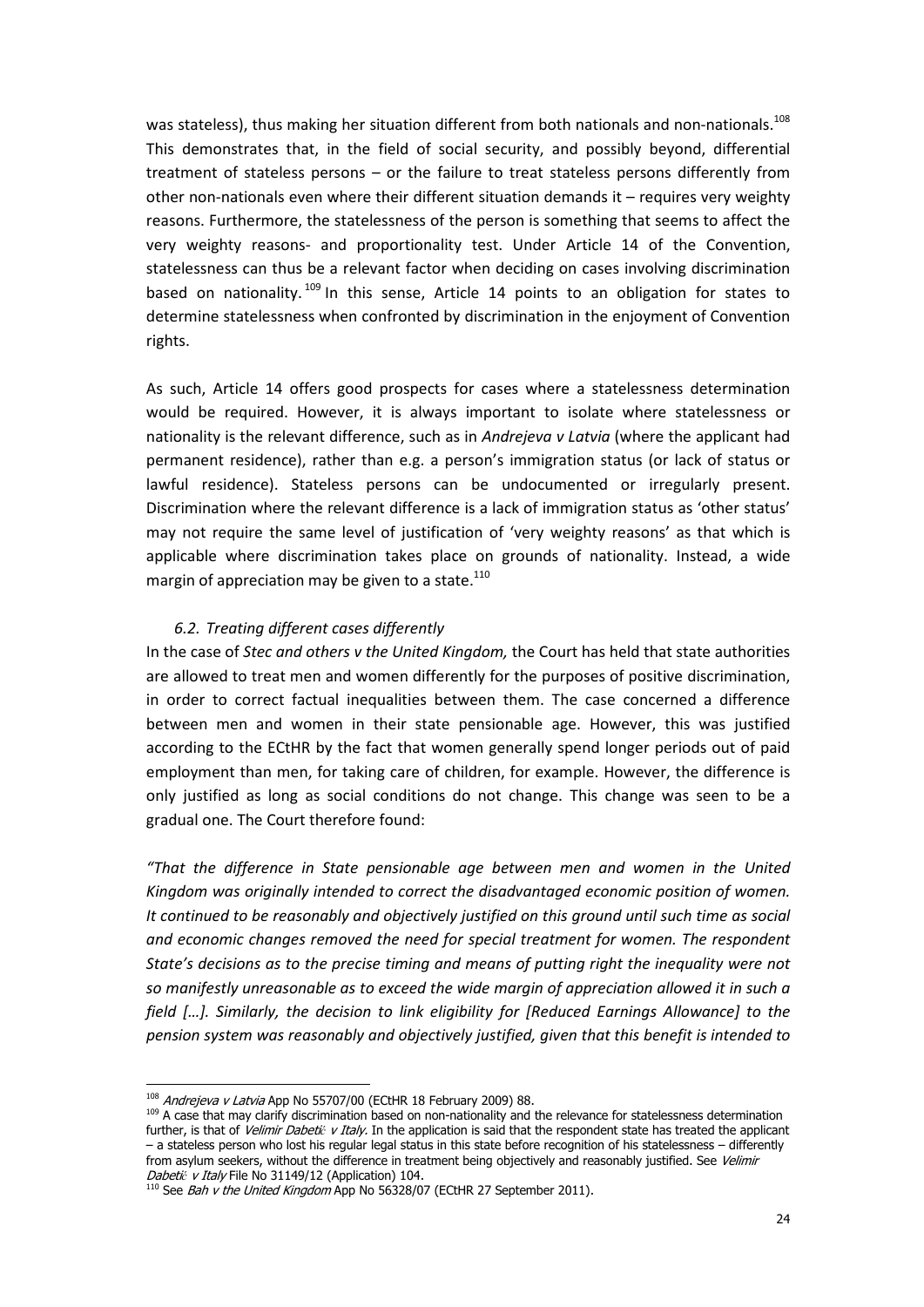was stateless), thus making her situation different from both nationals and non-nationals.<sup>108</sup> This demonstrates that, in the field of social security, and possibly beyond, differential treatment of stateless persons – or the failure to treat stateless persons differently from other non-nationals even where their different situation demands it – requires very weighty reasons. Furthermore, the statelessness of the person is something that seems to affect the very weighty reasons- and proportionality test. Under Article 14 of the Convention, statelessness can thus be a relevant factor when deciding on cases involving discrimination based on nationality.<sup>109</sup> In this sense, Article 14 points to an obligation for states to determine statelessness when confronted by discrimination in the enjoyment of Convention rights.

As such, Article 14 offers good prospects for cases where a statelessness determination would be required. However, it is always important to isolate where statelessness or nationality is the relevant difference, such as in Andrejeva v Latvia (where the applicant had permanent residence), rather than e.g. a person's immigration status (or lack of status or lawful residence). Stateless persons can be undocumented or irregularly present. Discrimination where the relevant difference is a lack of immigration status as 'other status' may not require the same level of justification of 'very weighty reasons' as that which is applicable where discrimination takes place on grounds of nationality. Instead, a wide margin of appreciation may be given to a state. $110$ 

# 6.2. Treating different cases differently

In the case of Stec and others v the United Kingdom, the Court has held that state authorities are allowed to treat men and women differently for the purposes of positive discrimination, in order to correct factual inequalities between them. The case concerned a difference between men and women in their state pensionable age. However, this was justified according to the ECtHR by the fact that women generally spend longer periods out of paid employment than men, for taking care of children, for example. However, the difference is only justified as long as social conditions do not change. This change was seen to be a gradual one. The Court therefore found:

"That the difference in State pensionable age between men and women in the United Kingdom was originally intended to correct the disadvantaged economic position of women. It continued to be reasonably and objectively justified on this ground until such time as social and economic changes removed the need for special treatment for women. The respondent State's decisions as to the precise timing and means of putting right the inequality were not so manifestly unreasonable as to exceed the wide margin of appreciation allowed it in such a field […]. Similarly, the decision to link eligibility for [Reduced Earnings Allowance] to the pension system was reasonably and objectively justified, given that this benefit is intended to

<sup>108</sup> Andrejeva v Latvia App No 55707/00 (ECtHR 18 February 2009) 88.

<sup>&</sup>lt;sup>109</sup> A case that may clarify discrimination based on non-nationality and the relevance for statelessness determination further, is that of Velimir Dabetić v Italy. In the application is said that the respondent state has treated the applicant – a stateless person who lost his regular legal status in this state before recognition of his statelessness – differently from asylum seekers, without the difference in treatment being objectively and reasonably justified. See Velimir Dabetić v Italy File No 31149/12 (Application) 104.

<sup>&</sup>lt;sup>110</sup> See Bah v the United Kingdom App No 56328/07 (ECtHR 27 September 2011).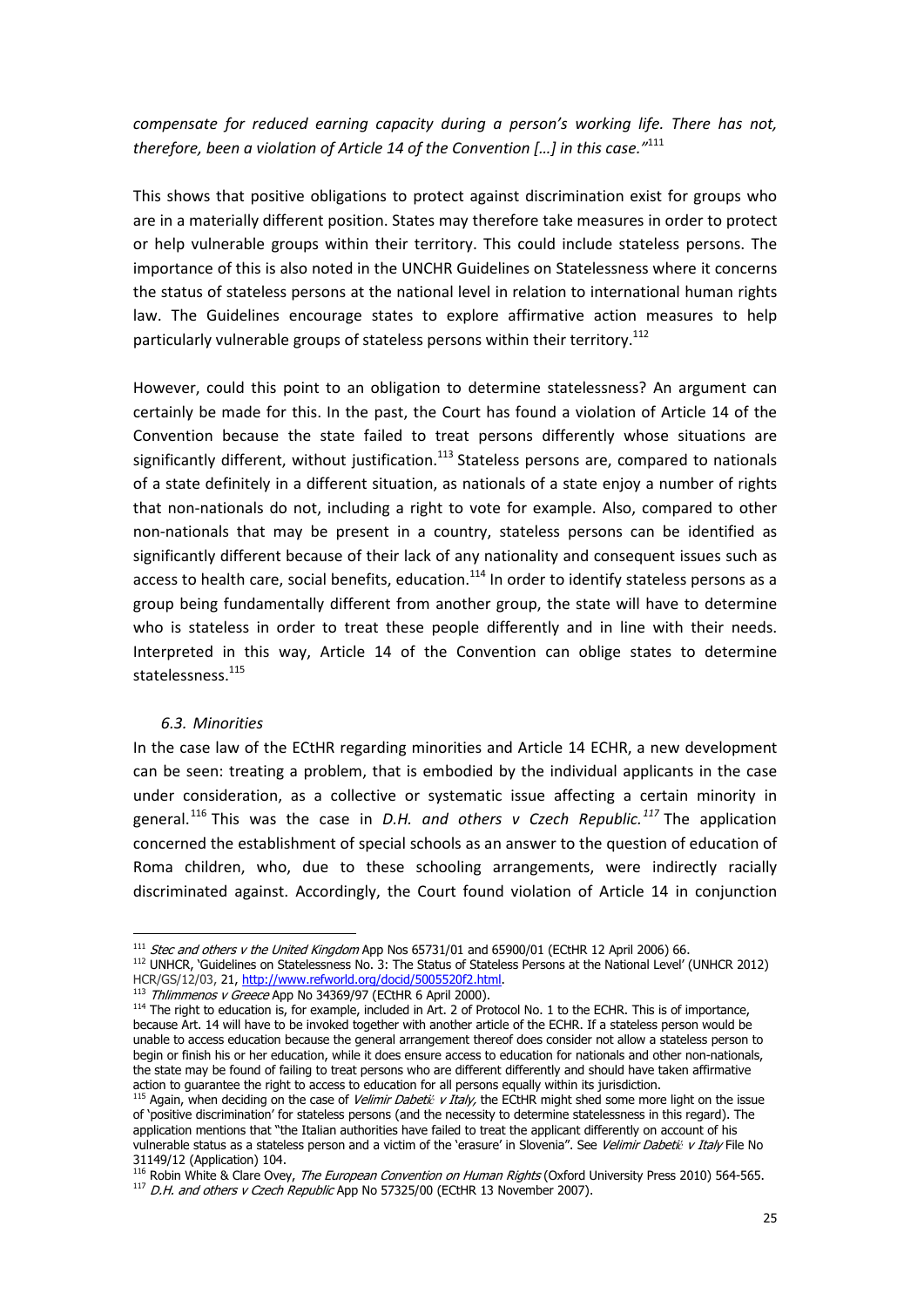compensate for reduced earning capacity during a person's working life. There has not, therefore, been a violation of Article 14 of the Convention [...] in this case."111

This shows that positive obligations to protect against discrimination exist for groups who are in a materially different position. States may therefore take measures in order to protect or help vulnerable groups within their territory. This could include stateless persons. The importance of this is also noted in the UNCHR Guidelines on Statelessness where it concerns the status of stateless persons at the national level in relation to international human rights law. The Guidelines encourage states to explore affirmative action measures to help particularly vulnerable groups of stateless persons within their territory.<sup>112</sup>

However, could this point to an obligation to determine statelessness? An argument can certainly be made for this. In the past, the Court has found a violation of Article 14 of the Convention because the state failed to treat persons differently whose situations are significantly different, without justification.<sup>113</sup> Stateless persons are, compared to nationals of a state definitely in a different situation, as nationals of a state enjoy a number of rights that non-nationals do not, including a right to vote for example. Also, compared to other non-nationals that may be present in a country, stateless persons can be identified as significantly different because of their lack of any nationality and consequent issues such as access to health care, social benefits, education.<sup>114</sup> In order to identify stateless persons as a group being fundamentally different from another group, the state will have to determine who is stateless in order to treat these people differently and in line with their needs. Interpreted in this way, Article 14 of the Convention can oblige states to determine statelessness.<sup>115</sup>

#### 6.3. Minorities

In the case law of the ECtHR regarding minorities and Article 14 ECHR, a new development can be seen: treating a problem, that is embodied by the individual applicants in the case under consideration, as a collective or systematic issue affecting a certain minority in general.<sup>116</sup> This was the case in *D.H. and others v Czech Republic.*<sup>117</sup> The application concerned the establishment of special schools as an answer to the question of education of Roma children, who, due to these schooling arrangements, were indirectly racially discriminated against. Accordingly, the Court found violation of Article 14 in conjunction

 <sup>111</sup> Stec and others v the United Kingdom App Nos 65731/01 and 65900/01 (ECtHR 12 April 2006) 66.

<sup>112</sup> UNHCR, 'Guidelines on Statelessness No. 3: The Status of Stateless Persons at the National Level' (UNHCR 2012) HCR/GS/12/03, 21, http://www.refworld.org/docid/5005520f2.html.

<sup>113</sup> Thlimmenos v Greece App No 34369/97 (ECtHR 6 April 2000).

<sup>114</sup> The right to education is, for example, included in Art. 2 of Protocol No. 1 to the ECHR. This is of importance, because Art. 14 will have to be invoked together with another article of the ECHR. If a stateless person would be unable to access education because the general arrangement thereof does consider not allow a stateless person to begin or finish his or her education, while it does ensure access to education for nationals and other non-nationals, the state may be found of failing to treat persons who are different differently and should have taken affirmative action to guarantee the right to access to education for all persons equally within its jurisdiction.

<sup>&</sup>lt;sup>115</sup> Again, when deciding on the case of *Velimir Dabetić v Italy,* the ECtHR might shed some more light on the issue of 'positive discrimination' for stateless persons (and the necessity to determine statelessness in this regard). The application mentions that "the Italian authorities have failed to treat the applicant differently on account of his vulnerable status as a stateless person and a victim of the 'erasure' in Slovenia". See Velimir Dabetić v Italy File No 31149/12 (Application) 104.

<sup>116</sup> Robin White & Clare Ovey, The European Convention on Human Rights (Oxford University Press 2010) 564-565. <sup>117</sup> D.H. and others v Czech Republic App No 57325/00 (ECtHR 13 November 2007).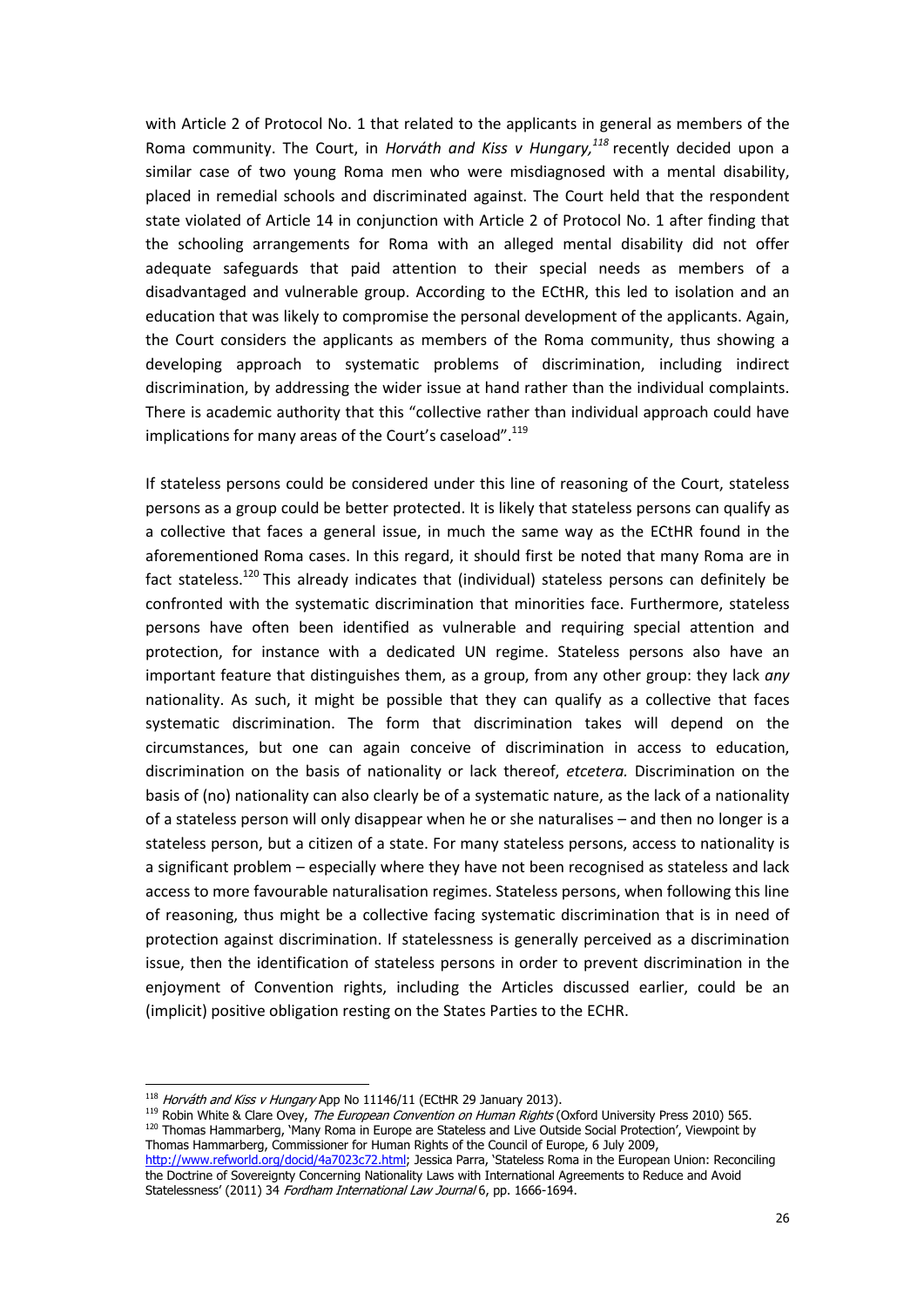with Article 2 of Protocol No. 1 that related to the applicants in general as members of the Roma community. The Court, in Horváth and Kiss v Hungary, $118$  recently decided upon a similar case of two young Roma men who were misdiagnosed with a mental disability, placed in remedial schools and discriminated against. The Court held that the respondent state violated of Article 14 in conjunction with Article 2 of Protocol No. 1 after finding that the schooling arrangements for Roma with an alleged mental disability did not offer adequate safeguards that paid attention to their special needs as members of a disadvantaged and vulnerable group. According to the ECtHR, this led to isolation and an education that was likely to compromise the personal development of the applicants. Again, the Court considers the applicants as members of the Roma community, thus showing a developing approach to systematic problems of discrimination, including indirect discrimination, by addressing the wider issue at hand rather than the individual complaints. There is academic authority that this "collective rather than individual approach could have implications for many areas of the Court's caseload".<sup>119</sup>

If stateless persons could be considered under this line of reasoning of the Court, stateless persons as a group could be better protected. It is likely that stateless persons can qualify as a collective that faces a general issue, in much the same way as the ECtHR found in the aforementioned Roma cases. In this regard, it should first be noted that many Roma are in fact stateless.<sup>120</sup> This already indicates that (individual) stateless persons can definitely be confronted with the systematic discrimination that minorities face. Furthermore, stateless persons have often been identified as vulnerable and requiring special attention and protection, for instance with a dedicated UN regime. Stateless persons also have an important feature that distinguishes them, as a group, from any other group: they lack any nationality. As such, it might be possible that they can qualify as a collective that faces systematic discrimination. The form that discrimination takes will depend on the circumstances, but one can again conceive of discrimination in access to education, discrimination on the basis of nationality or lack thereof, etcetera. Discrimination on the basis of (no) nationality can also clearly be of a systematic nature, as the lack of a nationality of a stateless person will only disappear when he or she naturalises – and then no longer is a stateless person, but a citizen of a state. For many stateless persons, access to nationality is a significant problem – especially where they have not been recognised as stateless and lack access to more favourable naturalisation regimes. Stateless persons, when following this line of reasoning, thus might be a collective facing systematic discrimination that is in need of protection against discrimination. If statelessness is generally perceived as a discrimination issue, then the identification of stateless persons in order to prevent discrimination in the enjoyment of Convention rights, including the Articles discussed earlier, could be an (implicit) positive obligation resting on the States Parties to the ECHR.

<sup>119</sup> Robin White & Clare Ovey, The European Convention on Human Rights (Oxford University Press 2010) 565. 120 Thomas Hammarberg, 'Many Roma in Europe are Stateless and Live Outside Social Protection', Viewpoint by Thomas Hammarberg, Commissioner for Human Rights of the Council of Europe, 6 July 2009,

 <sup>118</sup> Horváth and Kiss v Hungary App No 11146/11 (ECtHR 29 January 2013).

http://www.refworld.org/docid/4a7023c72.html; Jessica Parra, 'Stateless Roma in the European Union: Reconciling the Doctrine of Sovereignty Concerning Nationality Laws with International Agreements to Reduce and Avoid Statelessness' (2011) 34 Fordham International Law Journal 6, pp. 1666-1694.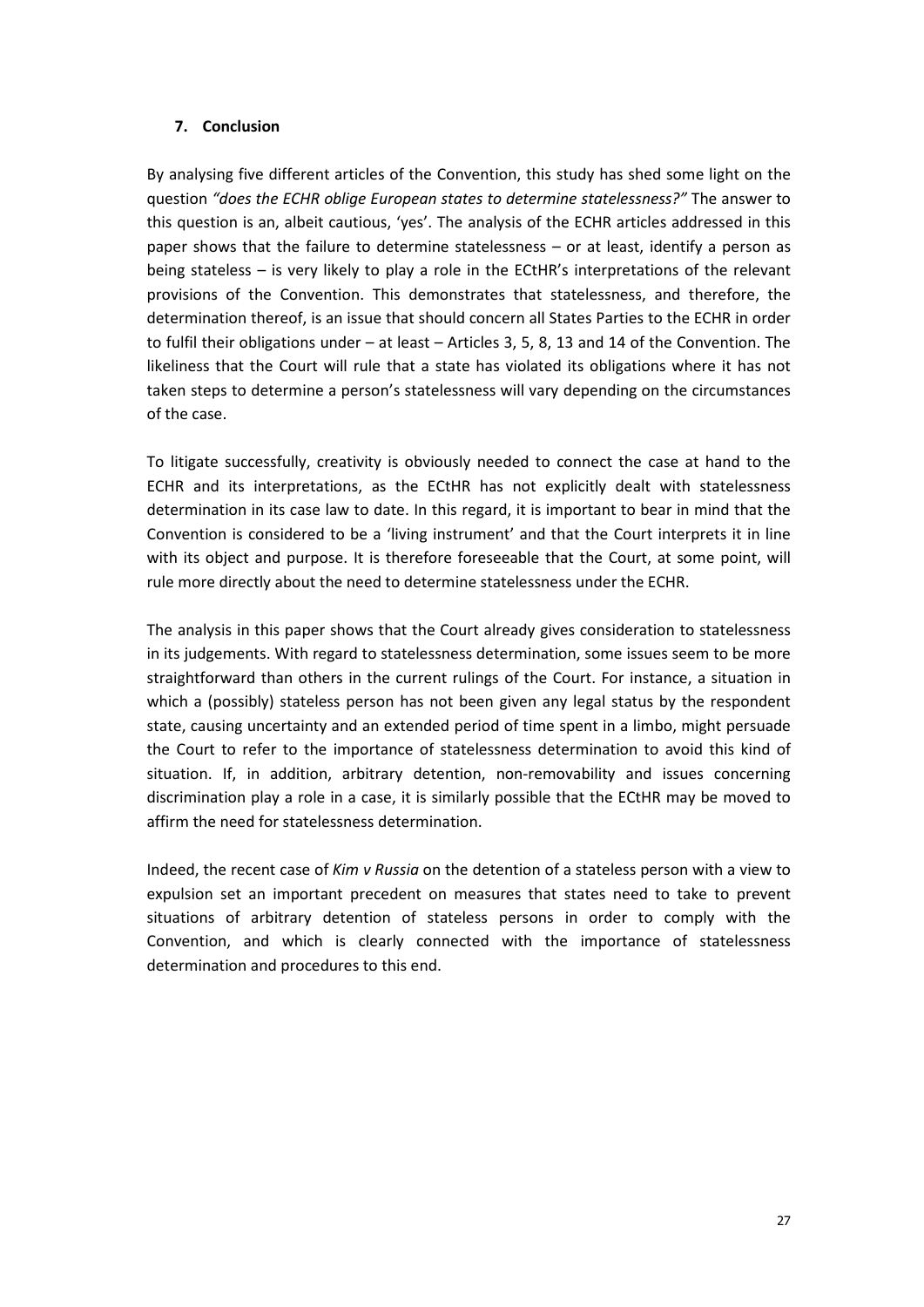# 7. Conclusion

By analysing five different articles of the Convention, this study has shed some light on the question "does the ECHR oblige European states to determine statelessness?" The answer to this question is an, albeit cautious, 'yes'. The analysis of the ECHR articles addressed in this paper shows that the failure to determine statelessness – or at least, identify a person as being stateless – is very likely to play a role in the ECtHR's interpretations of the relevant provisions of the Convention. This demonstrates that statelessness, and therefore, the determination thereof, is an issue that should concern all States Parties to the ECHR in order to fulfil their obligations under – at least – Articles 3, 5, 8, 13 and 14 of the Convention. The likeliness that the Court will rule that a state has violated its obligations where it has not taken steps to determine a person's statelessness will vary depending on the circumstances of the case.

To litigate successfully, creativity is obviously needed to connect the case at hand to the ECHR and its interpretations, as the ECtHR has not explicitly dealt with statelessness determination in its case law to date. In this regard, it is important to bear in mind that the Convention is considered to be a 'living instrument' and that the Court interprets it in line with its object and purpose. It is therefore foreseeable that the Court, at some point, will rule more directly about the need to determine statelessness under the ECHR.

The analysis in this paper shows that the Court already gives consideration to statelessness in its judgements. With regard to statelessness determination, some issues seem to be more straightforward than others in the current rulings of the Court. For instance, a situation in which a (possibly) stateless person has not been given any legal status by the respondent state, causing uncertainty and an extended period of time spent in a limbo, might persuade the Court to refer to the importance of statelessness determination to avoid this kind of situation. If, in addition, arbitrary detention, non-removability and issues concerning discrimination play a role in a case, it is similarly possible that the ECtHR may be moved to affirm the need for statelessness determination.

Indeed, the recent case of Kim v Russia on the detention of a stateless person with a view to expulsion set an important precedent on measures that states need to take to prevent situations of arbitrary detention of stateless persons in order to comply with the Convention, and which is clearly connected with the importance of statelessness determination and procedures to this end.